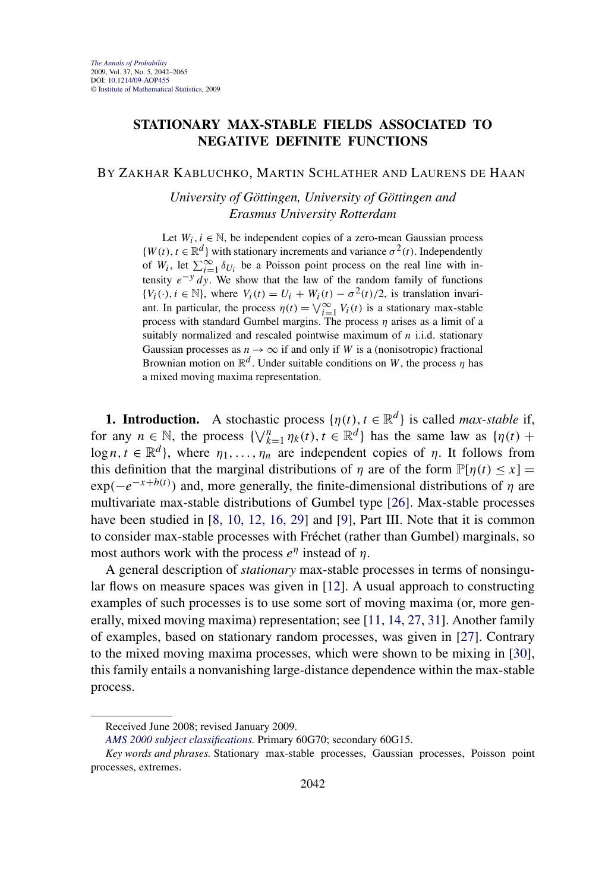## **STATIONARY MAX-STABLE FIELDS ASSOCIATED TO NEGATIVE DEFINITE FUNCTIONS**

## BY ZAKHAR KABLUCHKO, MARTIN SCHLATHER AND LAURENS DE HAAN

*University of Göttingen, University of Göttingen and Erasmus University Rotterdam*

Let  $W_i$ ,  $i \in \mathbb{N}$ , be independent copies of a zero-mean Gaussian process  ${W(t), t \in \mathbb{R}^d}$  with stationary increments and variance  $\sigma^2(t)$ . Independently of  $W_i$ , let  $\sum_{i=1}^{\infty} \delta_{U_i}$  be a Poisson point process on the real line with intensity *e*−*<sup>y</sup> dy*. We show that the law of the random family of functions  ${V_i(\cdot), i \in \mathbb{N}}$ , where  $V_i(t) = U_i + W_i(t) - \sigma^2(t)/2$ , is translation invariant. In particular, the process  $\eta(t) = \bigvee_{i=1}^{\infty} V_i(t)$  is a stationary max-stable process with standard Gumbel margins. The process *η* arises as a limit of a suitably normalized and rescaled pointwise maximum of *n* i.i.d. stationary Gaussian processes as  $n \to \infty$  if and only if *W* is a (nonisotropic) fractional Brownian motion on  $\mathbb{R}^d$ . Under suitable conditions on *W*, the process *η* has a mixed moving maxima representation.

**1. Introduction.** A stochastic process  $\{\eta(t), t \in \mathbb{R}^d\}$  is called *max-stable* if, for any  $n \in \mathbb{N}$ , the process  $\{\vee_{k=1}^{n} \eta_k(t), t \in \mathbb{R}^d\}$  has the same law as  $\{\eta(t)$  + log *n*,  $t \in \mathbb{R}^d$ , where  $\eta_1, \ldots, \eta_n$  are independent copies of  $\eta$ . It follows from this definition that the marginal distributions of *η* are of the form  $\mathbb{P}[\eta(t) \leq x]$  =  $exp(-e^{-x+b(t)})$  and, more generally, the finite-dimensional distributions of *η* are multivariate max-stable distributions of Gumbel type [\[26\]](#page-23-0). Max-stable processes have been studied in [\[8, 10, 12, 16, 29\]](#page-22-0) and [\[9\]](#page-22-0), Part III. Note that it is common to consider max-stable processes with Fréchet (rather than Gumbel) marginals, so most authors work with the process *e<sup>η</sup>* instead of *η*.

A general description of *stationary* max-stable processes in terms of nonsingular flows on measure spaces was given in [\[12\]](#page-22-0). A usual approach to constructing examples of such processes is to use some sort of moving maxima (or, more generally, mixed moving maxima) representation; see [\[11, 14, 27, 31\]](#page-22-0). Another family of examples, based on stationary random processes, was given in [\[27\]](#page-23-0). Contrary to the mixed moving maxima processes, which were shown to be mixing in [\[30\]](#page-23-0), this family entails a nonvanishing large-distance dependence within the max-stable process.

Received June 2008; revised January 2009.

*[AMS 2000 subject classifications.](http://www.ams.org/msc/)* Primary 60G70; secondary 60G15.

*Key words and phrases.* Stationary max-stable processes, Gaussian processes, Poisson point processes, extremes.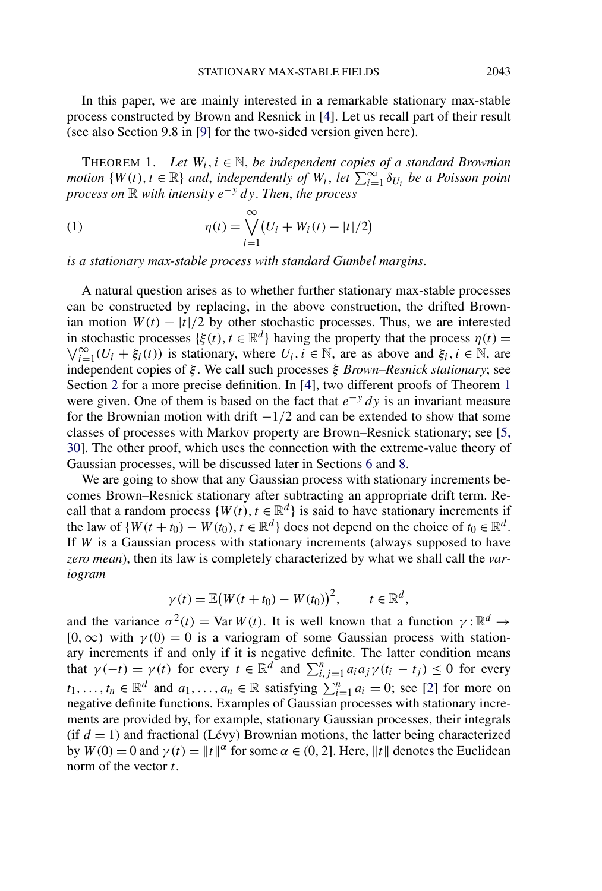<span id="page-1-0"></span>In this paper, we are mainly interested in a remarkable stationary max-stable process constructed by Brown and Resnick in [\[4\]](#page-22-0). Let us recall part of their result (see also Section 9.8 in [\[9\]](#page-22-0) for the two-sided version given here).

THEOREM 1. *Let*  $W_i$ ,  $i \in \mathbb{N}$ , *be independent copies of a standard Brownian motion*  $\{W(t), t \in \mathbb{R}\}$  *and, independently of*  $W_i$ , *let*  $\sum_{i=1}^{\infty} \delta_{U_i}$  *be a Poisson point process on* R *with intensity e*−*<sup>y</sup> dy*. *Then*, *the process*

(1) 
$$
\eta(t) = \bigvee_{i=1}^{\infty} (U_i + W_i(t) - |t|/2)
$$

*is a stationary max-stable process with standard Gumbel margins*.

A natural question arises as to whether further stationary max-stable processes can be constructed by replacing, in the above construction, the drifted Brownian motion  $W(t) - |t|/2$  by other stochastic processes. Thus, we are interested in stochastic processes  $\{\xi(t), t \in \mathbb{R}^d\}$  having the property that the process  $\eta(t) =$  $\bigvee_{i=1}^{\infty} (U_i + \xi_i(t))$  is stationary, where  $U_i, i \in \mathbb{N}$ , are as above and  $\xi_i, i \in \mathbb{N}$ , are independent copies of *ξ* . We call such processes *ξ Brown–Resnick stationary*; see Section [2](#page-3-0) for a more precise definition. In [\[4\]](#page-22-0), two different proofs of Theorem 1 were given. One of them is based on the fact that *e*−*<sup>y</sup> dy* is an invariant measure for the Brownian motion with drift −1*/*2 and can be extended to show that some classes of processes with Markov property are Brown–Resnick stationary; see [\[5,](#page-22-0) [30\]](#page-22-0). The other proof, which uses the connection with the extreme-value theory of Gaussian processes, will be discussed later in Sections [6](#page-12-0) and [8.](#page-20-0)

We are going to show that any Gaussian process with stationary increments becomes Brown–Resnick stationary after subtracting an appropriate drift term. Recall that a random process  $\{W(t), t \in \mathbb{R}^d\}$  is said to have stationary increments if the law of  $\{W(t + t_0) - W(t_0), t \in \mathbb{R}^d\}$  does not depend on the choice of  $t_0 \in \mathbb{R}^d$ . If *W* is a Gaussian process with stationary increments (always supposed to have *zero mean*), then its law is completely characterized by what we shall call the *variogram*

$$
\gamma(t) = \mathbb{E}(W(t+t_0) - W(t_0))^2, \qquad t \in \mathbb{R}^d,
$$

and the variance  $\sigma^2(t) = \text{Var } W(t)$ . It is well known that a function  $\gamma : \mathbb{R}^d \to$  $[0, \infty)$  with  $\gamma(0) = 0$  is a variogram of some Gaussian process with stationary increments if and only if it is negative definite. The latter condition means that  $\gamma(-t) = \gamma(t)$  for every  $t \in \mathbb{R}^d$  and  $\sum_{i,j=1}^n a_i a_j \gamma(t_i - t_j) \leq 0$  for every  $t_1, \ldots, t_n \in \mathbb{R}^d$  and  $a_1, \ldots, a_n \in \mathbb{R}$  satisfying  $\sum_{i=1}^n a_i = 0$ ; see [\[2\]](#page-22-0) for more on negative definite functions. Examples of Gaussian processes with stationary increments are provided by, for example, stationary Gaussian processes, their integrals (if  $d = 1$ ) and fractional (Lévy) Brownian motions, the latter being characterized by  $W(0) = 0$  and  $\gamma(t) = ||t||^{\alpha}$  for some  $\alpha \in (0, 2]$ . Here,  $||t||$  denotes the Euclidean norm of the vector *t*.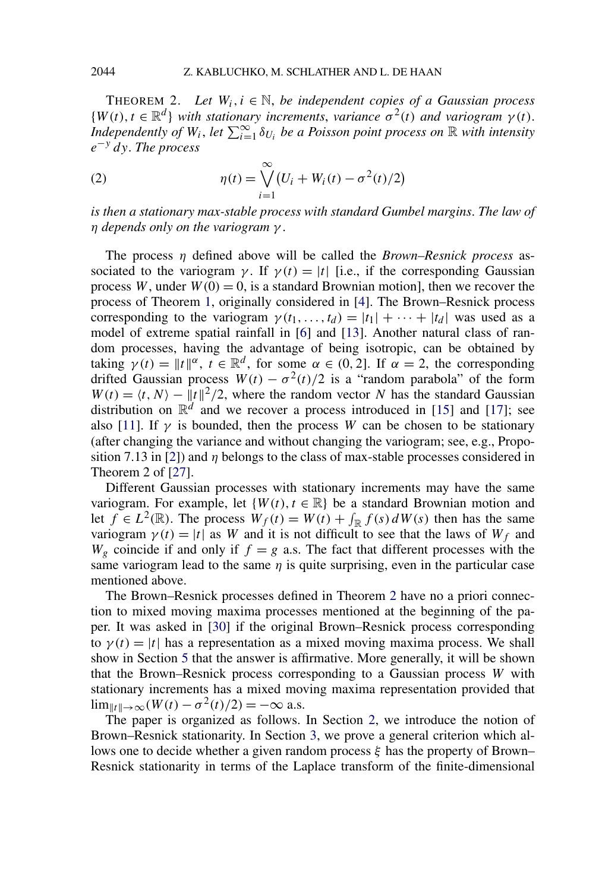<span id="page-2-0"></span>THEOREM 2. Let  $W_i$ ,  $i \in \mathbb{N}$ , be independent copies of a Gaussian process  ${W(t), t \in \mathbb{R}^d}$  *with stationary increments, variance*  $\sigma^2(t)$  *and variogram*  $\gamma(t)$ . *Independently of*  $W_i$ , *let*  $\sum_{i=1}^{\infty} \delta_{U_i}$  *be a Poisson point process on*  $\mathbb R$  *with intensity e*−*<sup>y</sup> dy*. *The process*

(2) 
$$
\eta(t) = \bigvee_{i=1}^{\infty} (U_i + W_i(t) - \sigma^2(t)/2)
$$

*is then a stationary max-stable process with standard Gumbel margins*. *The law of η depends only on the variogram γ* .

The process *η* defined above will be called the *Brown–Resnick process* associated to the variogram *γ*. If  $\gamma(t) = |t|$  [i.e., if the corresponding Gaussian process *W*, under  $W(0) = 0$ , is a standard Brownian motion], then we recover the process of Theorem [1,](#page-1-0) originally considered in [\[4\]](#page-22-0). The Brown–Resnick process corresponding to the variogram  $\gamma(t_1, \ldots, t_d) = |t_1| + \cdots + |t_d|$  was used as a model of extreme spatial rainfall in [\[6\]](#page-22-0) and [\[13\]](#page-23-0). Another natural class of random processes, having the advantage of being isotropic, can be obtained by taking  $\gamma(t) = ||t||^{\alpha}$ ,  $t \in \mathbb{R}^d$ , for some  $\alpha \in (0, 2]$ . If  $\alpha = 2$ , the corresponding drifted Gaussian process  $W(t) - \sigma^2(t)/2$  is a "random parabola" of the form  $W(t) = \langle t, N \rangle - \frac{1}{2}t\|^2/2$ , where the random vector *N* has the standard Gaussian distribution on  $\mathbb{R}^d$  and we recover a process introduced in [\[15\]](#page-23-0) and [\[17\]](#page-23-0); see also [\[11\]](#page-22-0). If  $\gamma$  is bounded, then the process *W* can be chosen to be stationary (after changing the variance and without changing the variogram; see, e.g., Propo-sition 7.13 in [\[2\]](#page-22-0)) and  $\eta$  belongs to the class of max-stable processes considered in Theorem 2 of [\[27\]](#page-23-0).

Different Gaussian processes with stationary increments may have the same variogram. For example, let  $\{W(t), t \in \mathbb{R}\}\$  be a standard Brownian motion and let  $f \in L^2(\mathbb{R})$ . The process  $W_f(t) = W(t) + \int_{\mathbb{R}} f(s) dW(s)$  then has the same variogram  $\gamma(t) = |t|$  as *W* and it is not difficult to see that the laws of  $W_f$  and  $W_g$  coincide if and only if  $f = g$  a.s. The fact that different processes with the same variogram lead to the same  $\eta$  is quite surprising, even in the particular case mentioned above.

The Brown–Resnick processes defined in Theorem 2 have no a priori connection to mixed moving maxima processes mentioned at the beginning of the paper. It was asked in [\[30\]](#page-23-0) if the original Brown–Resnick process corresponding to  $\gamma(t) = |t|$  has a representation as a mixed moving maxima process. We shall show in Section [5](#page-10-0) that the answer is affirmative. More generally, it will be shown that the Brown–Resnick process corresponding to a Gaussian process *W* with stationary increments has a mixed moving maxima representation provided that lim<sub>||t||→∞</sub> $(W(t) - \sigma^2(t)/2) = -\infty$  a.s.

The paper is organized as follows. In Section [2,](#page-3-0) we introduce the notion of Brown–Resnick stationarity. In Section [3,](#page-5-0) we prove a general criterion which allows one to decide whether a given random process *ξ* has the property of Brown– Resnick stationarity in terms of the Laplace transform of the finite-dimensional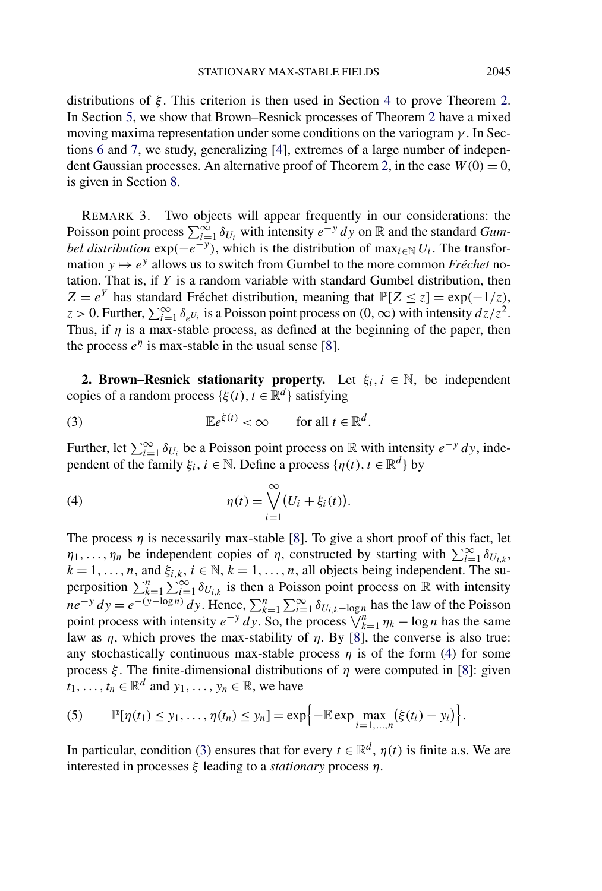<span id="page-3-0"></span>distributions of *ξ* . This criterion is then used in Section [4](#page-8-0) to prove Theorem [2.](#page-2-0) In Section [5,](#page-10-0) we show that Brown–Resnick processes of Theorem [2](#page-2-0) have a mixed moving maxima representation under some conditions on the variogram *γ* . In Sections [6](#page-12-0) and [7,](#page-18-0) we study, generalizing [\[4\]](#page-22-0), extremes of a large number of indepen-dent Gaussian processes. An alternative proof of Theorem [2,](#page-2-0) in the case  $W(0) = 0$ , is given in Section [8.](#page-20-0)

REMARK 3. Two objects will appear frequently in our considerations: the Poisson point process  $\sum_{i=1}^{\infty} \delta_{U_i}$  with intensity  $e^{-y} dy$  on R and the standard *Gumbel distribution* exp $(-e^{-y})$ , which is the distribution of max<sub>*i*∈N</sub> *U<sub>i</sub>*. The transformation  $y \mapsto e^y$  allows us to switch from Gumbel to the more common *Fréchet* notation. That is, if *Y* is a random variable with standard Gumbel distribution, then *Z* =  $e^Y$  has standard Fréchet distribution, meaning that  $\mathbb{P}[Z \le z] = \exp(-1/z)$ ,  $z > 0$ . Further,  $\sum_{i=1}^{\infty} \delta_e v_i$  is a Poisson point process on  $(0, \infty)$  with intensity  $dz/z^2$ . Thus, if  $\eta$  is a max-stable process, as defined at the beginning of the paper, then the process  $e^{\eta}$  is max-stable in the usual sense [\[8\]](#page-22-0).

**2. Brown–Resnick stationarity property.** Let  $\xi_i, i \in \mathbb{N}$ , be independent copies of a random process  $\{\xi(t), t \in \mathbb{R}^d\}$  satisfying

(3) 
$$
\mathbb{E}e^{\xi(t)} < \infty \quad \text{for all } t \in \mathbb{R}^d.
$$

Further, let  $\sum_{i=1}^{\infty} \delta_{U_i}$  be a Poisson point process on R with intensity  $e^{-y} dy$ , independent of the family  $\xi_i$ ,  $i \in \mathbb{N}$ . Define a process  $\{\eta(t), t \in \mathbb{R}^d\}$  by

(4) 
$$
\eta(t) = \bigvee_{i=1}^{\infty} (U_i + \xi_i(t)).
$$

The process  $\eta$  is necessarily max-stable [\[8\]](#page-22-0). To give a short proof of this fact, let  $\eta_1, \ldots, \eta_n$  be independent copies of  $\eta$ , constructed by starting with  $\sum_{i=1}^{\infty} \delta_{U_{i,k}}$ ,  $k = 1, \ldots, n$ , and  $\xi_{i,k}, i \in \mathbb{N}, k = 1, \ldots, n$ , all objects being independent. The superposition  $\sum_{k=1}^{n} \sum_{i=1}^{\infty} \delta_{U_{i,k}}$  is then a Poisson point process on R with intensity  $ne^{-y} dy = e^{-(y-\log n)} dy$ . Hence,  $\sum_{k=1}^{n} \sum_{i=1}^{\infty} \delta_{U_{i,k}-\log n}$  has the law of the Poisson point process with intensity  $e^{-y} dy$ . So, the process  $\bigvee_{k=1}^{n} \eta_k - \log n$  has the same law as *η*, which proves the max-stability of *η*. By [\[8\]](#page-22-0), the converse is also true: any stochastically continuous max-stable process  $\eta$  is of the form (4) for some process *ξ* . The finite-dimensional distributions of *η* were computed in [\[8\]](#page-22-0): given  $t_1, \ldots, t_n \in \mathbb{R}^d$  and  $y_1, \ldots, y_n \in \mathbb{R}$ , we have

(5) 
$$
\mathbb{P}[\eta(t_1) \leq y_1, ..., \eta(t_n) \leq y_n] = \exp\left\{-\mathbb{E}\exp\max_{i=1,...,n}(\xi(t_i) - y_i)\right\}.
$$

In particular, condition (3) ensures that for every  $t \in \mathbb{R}^d$ ,  $\eta(t)$  is finite a.s. We are interested in processes *ξ* leading to a *stationary* process *η*.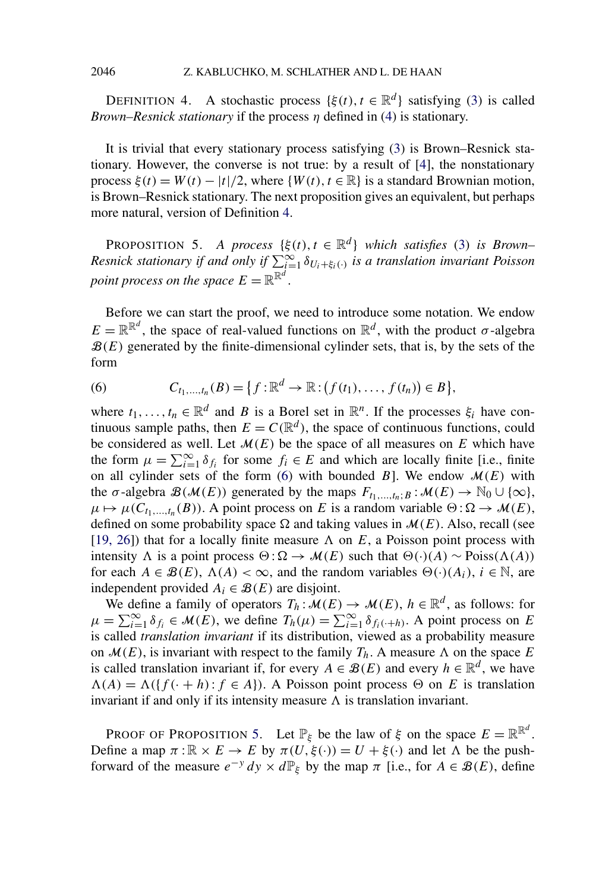<span id="page-4-0"></span>DEFINITION 4. A stochastic process  $\{\xi(t), t \in \mathbb{R}^d\}$  satisfying [\(3\)](#page-3-0) is called *Brown–Resnick stationary* if the process *η* defined in [\(4\)](#page-3-0) is stationary.

It is trivial that every stationary process satisfying [\(3\)](#page-3-0) is Brown–Resnick stationary. However, the converse is not true: by a result of [\[4\]](#page-22-0), the nonstationary process  $\xi(t) = W(t) - |t|/2$ , where  $\{W(t), t \in \mathbb{R}\}\$ is a standard Brownian motion, is Brown–Resnick stationary. The next proposition gives an equivalent, but perhaps more natural, version of Definition 4.

PROPOSITION 5. *A process*  $\{\xi(t), t \in \mathbb{R}^d\}$  *which satisfies* [\(3\)](#page-3-0) *is Brown*– *Resnick stationary if and only if*  $\sum_{i=1}^{\infty} \delta_{U_i+\xi_i(\cdot)}$  *is a translation invariant Poisson point process on the space*  $E = \mathbb{R}^{\mathbb{R}^d}$  *.* 

Before we can start the proof, we need to introduce some notation. We endow  $E = \mathbb{R}^{\mathbb{R}^d}$ , the space of real-valued functions on  $\mathbb{R}^d$ , with the product *σ*-algebra  $B(E)$  generated by the finite-dimensional cylinder sets, that is, by the sets of the form

(6) 
$$
C_{t_1,...,t_n}(B) = \{f : \mathbb{R}^d \to \mathbb{R} : (f(t_1),...,f(t_n)) \in B\},\
$$

where  $t_1, \ldots, t_n \in \mathbb{R}^d$  and *B* is a Borel set in  $\mathbb{R}^n$ . If the processes  $\xi_i$  have continuous sample paths, then  $E = C(\mathbb{R}^d)$ , the space of continuous functions, could be considered as well. Let  $\mathcal{M}(E)$  be the space of all measures on  $E$  which have the form  $\mu = \sum_{i=1}^{\infty} \delta_{f_i}$  for some  $f_i \in E$  and which are locally finite [i.e., finite on all cylinder sets of the form (6) with bounded *B*]. We endow  $\mathcal{M}(E)$  with the  $\sigma$ -algebra  $\mathcal{B}(\mathcal{M}(E))$  generated by the maps  $F_{t_1,\dots,t_n;B}$ :  $\mathcal{M}(E) \to \mathbb{N}_0 \cup \{\infty\},$  $\mu \mapsto \mu(C_{t_1,\dots,t_n}(B))$ . A point process on *E* is a random variable  $\Theta : \Omega \to \mathcal{M}(E)$ , defined on some probability space  $\Omega$  and taking values in  $\mathcal{M}(E)$ . Also, recall (see [\[19, 26\]](#page-23-0)) that for a locally finite measure  $\Lambda$  on  $E$ , a Poisson point process with intensity  $\Lambda$  is a point process  $\Theta$  :  $\Omega$  →  $\mathcal{M}(E)$  such that  $\Theta(\cdot)(A)$  ∼ Poiss( $\Lambda(A)$ ) for each  $A \in \mathcal{B}(E)$ ,  $\Lambda(A) < \infty$ , and the random variables  $\Theta(\cdot)(A_i)$ ,  $i \in \mathbb{N}$ , are independent provided  $A_i \in \mathcal{B}(E)$  are disjoint.

We define a family of operators  $T_h: \mathcal{M}(E) \to \mathcal{M}(E)$ ,  $h \in \mathbb{R}^d$ , as follows: for  $\mu = \sum_{i=1}^{\infty} \delta_{f_i} \in \mathcal{M}(E)$ , we define  $T_h(\mu) = \sum_{i=1}^{\infty} \delta_{f_i(\cdot+h)}$ . A point process on *E* is called *translation invariant* if its distribution, viewed as a probability measure on  $\mathcal{M}(E)$ , is invariant with respect to the family  $T_h$ . A measure  $\Lambda$  on the space E is called translation invariant if, for every  $A \in \mathcal{B}(E)$  and every  $h \in \mathbb{R}^d$ , we have  $\Lambda(A) = \Lambda({f \cdot + h): f \in A}$ *)*. A Poisson point process  $\Theta$  on *E* is translation invariant if and only if its intensity measure  $\Lambda$  is translation invariant.

PROOF OF PROPOSITION 5. Let  $\mathbb{P}_{\xi}$  be the law of  $\xi$  on the space  $E = \mathbb{R}^{\mathbb{R}^d}$ . Define a map  $\pi : \mathbb{R} \times E \to E$  by  $\pi(U, \xi(\cdot)) = U + \xi(\cdot)$  and let  $\Lambda$  be the pushforward of the measure  $e^{-y} dy \times d\mathbb{P}_{\xi}$  by the map  $\pi$  [i.e., for  $A \in \mathcal{B}(E)$ , define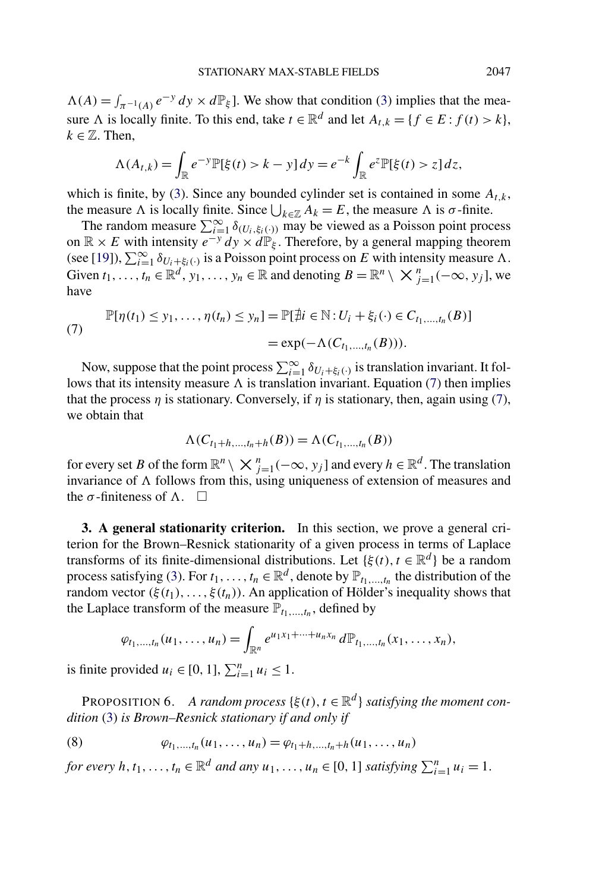<span id="page-5-0"></span> $\Lambda(A) = \int_{\pi^{-1}(A)} e^{-y} dy \times d\mathbb{P}_{\xi}$ . We show that condition [\(3\)](#page-3-0) implies that the measure  $\Lambda$  is locally finite. To this end, take  $t \in \mathbb{R}^d$  and let  $A_{t,k} = \{f \in E : f(t) > k\}$ ,  $k \in \mathbb{Z}$ . Then,

$$
\Lambda(A_{t,k}) = \int_{\mathbb{R}} e^{-y} \mathbb{P}[\xi(t) > k - y] dy = e^{-k} \int_{\mathbb{R}} e^{z} \mathbb{P}[\xi(t) > z] dz,
$$

which is finite, by [\(3\)](#page-3-0). Since any bounded cylinder set is contained in some  $A_{t,k}$ , the measure  $\Lambda$  is locally finite. Since  $\bigcup_{k \in \mathbb{Z}} A_k = E$ , the measure  $\Lambda$  is  $\sigma$ -finite.

The random measure  $\sum_{i=1}^{\infty} \delta_{(U_i,\xi_i(\cdot))}$  may be viewed as a Poisson point process on  $\mathbb{R} \times E$  with intensity  $e^{-y} dy \times d\mathbb{P}_{\xi}$ . Therefore, by a general mapping theorem  $\left(\text{see } [19]\right), \sum_{i=1}^{\infty} \delta_{U_i+\xi_i(\cdot)}$  $\left(\text{see } [19]\right), \sum_{i=1}^{\infty} \delta_{U_i+\xi_i(\cdot)}$  $\left(\text{see } [19]\right), \sum_{i=1}^{\infty} \delta_{U_i+\xi_i(\cdot)}$  is a Poisson point process on *E* with intensity measure  $\Lambda$ . Given  $t_1, ..., t_n \in \mathbb{R}^d$ ,  $y_1, ..., y_n \in \mathbb{R}$  and denoting  $B = \mathbb{R}^n \setminus \mathbb{X}_{j=1}^n(-\infty, y_j]$ , we have

(7) 
$$
\mathbb{P}[\eta(t_1) \le y_1, ..., \eta(t_n) \le y_n] = \mathbb{P}[\nexists i \in \mathbb{N} : U_i + \xi_i(\cdot) \in C_{t_1, ..., t_n}(B)]
$$

$$
= \exp(-\Lambda(C_{t_1, ..., t_n}(B))).
$$

Now, suppose that the point process  $\sum_{i=1}^{\infty} \delta_{U_i+\xi_i(\cdot)}$  is translation invariant. It follows that its intensity measure  $\Lambda$  is translation invariant. Equation (7) then implies that the process  $\eta$  is stationary. Conversely, if  $\eta$  is stationary, then, again using (7), we obtain that

$$
\Lambda(C_{t_1+h,\dots,t_n+h}(B)) = \Lambda(C_{t_1,\dots,t_n}(B))
$$

for every set *B* of the form  $\mathbb{R}^n \setminus \{bb{X}\}_{j=1}^n$  ( $-\infty$ , y<sub>j</sub> ] and every  $h \in \mathbb{R}^d$ . The translation invariance of  follows from this, using uniqueness of extension of measures and the  $\sigma$ -finiteness of  $\Lambda$ .  $\square$ 

**3. A general stationarity criterion.** In this section, we prove a general criterion for the Brown–Resnick stationarity of a given process in terms of Laplace transforms of its finite-dimensional distributions. Let  $\{\xi(t), t \in \mathbb{R}^d\}$  be a random process satisfying [\(3\)](#page-3-0). For  $t_1, \ldots, t_n \in \mathbb{R}^d$ , denote by  $\mathbb{P}_{t_1, \ldots, t_n}$  the distribution of the random vector  $(\xi(t_1),..., \xi(t_n))$ . An application of Hölder's inequality shows that the Laplace transform of the measure  $\mathbb{P}_{t_1,\dots,t_n}$ , defined by

$$
\varphi_{t_1,...,t_n}(u_1,...,u_n)=\int_{\mathbb{R}^n}e^{u_1x_1+...+u_nx_n}\,d\mathbb{P}_{t_1,...,t_n}(x_1,...,x_n),
$$

is finite provided  $u_i \in [0, 1]$ ,  $\sum_{i=1}^{n} u_i \leq 1$ .

PROPOSITION 6. *A random process*  $\{\xi(t), t \in \mathbb{R}^d\}$  *satisfying the moment condition* [\(3\)](#page-3-0) *is Brown–Resnick stationary if and only if*

(8) 
$$
\varphi_{t_1,...,t_n}(u_1,...,u_n)=\varphi_{t_1+h,...,t_n+h}(u_1,...,u_n)
$$

*for every*  $h, t_1, \ldots, t_n \in \mathbb{R}^d$  *and any*  $u_1, \ldots, u_n \in [0, 1]$  *satisfying*  $\sum_{i=1}^n u_i = 1$ .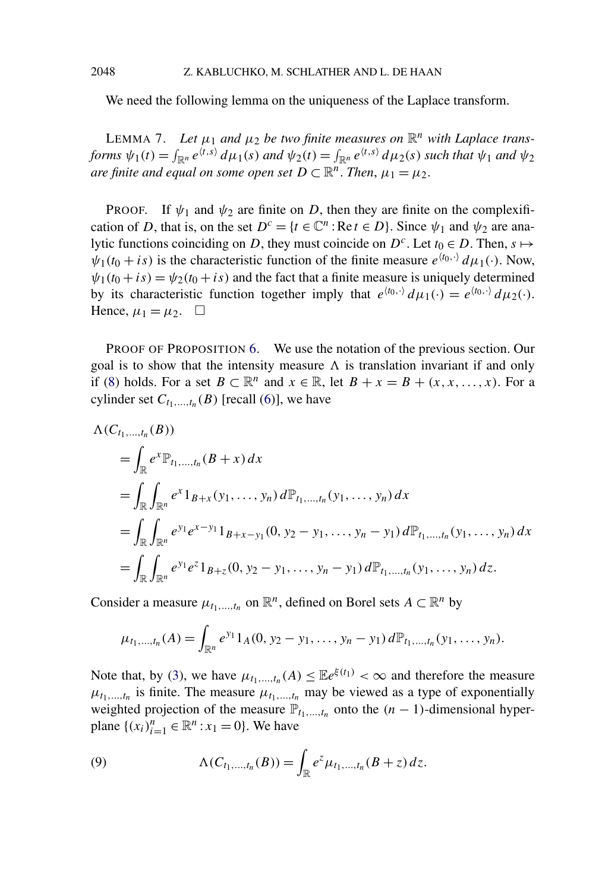<span id="page-6-0"></span>We need the following lemma on the uniqueness of the Laplace transform.

LEMMA 7. Let  $μ_1$  *and*  $μ_2$  *be two finite measures on*  $\mathbb{R}^n$  *with Laplace transforms*  $\psi_1(t) = \int_{\mathbb{R}^n} e^{\langle t,s \rangle} d\mu_1(s)$  and  $\psi_2(t) = \int_{\mathbb{R}^n} e^{\langle t,s \rangle} d\mu_2(s)$  such that  $\psi_1$  and  $\psi_2$ *are finite and equal on some open set*  $D \subset \mathbb{R}^n$ . *Then*,  $\mu_1 = \mu_2$ .

PROOF. If  $\psi_1$  and  $\psi_2$  are finite on *D*, then they are finite on the complexification of *D*, that is, on the set  $D^c = \{t \in \mathbb{C}^n : \text{Re } t \in D\}$ . Since  $\psi_1$  and  $\psi_2$  are analytic functions coinciding on *D*, they must coincide on  $D^c$ . Let  $t_0 \in D$ . Then,  $s \mapsto$  $\psi_1(t_0 + is)$  is the characteristic function of the finite measure  $e^{t_0 t_0 t} d\mu_1(t)$ . Now,  $\psi_1(t_0 + is) = \psi_2(t_0 + is)$  and the fact that a finite measure is uniquely determined by its characteristic function together imply that  $e^{t_0} \cdot \partial d\mu_1(\cdot) = e^{t_0} \cdot \partial d\mu_2(\cdot)$ . Hence,  $\mu_1 = \mu_2$ .  $\Box$ 

PROOF OF PROPOSITION [6.](#page-5-0) We use the notation of the previous section. Our goal is to show that the intensity measure  $\Lambda$  is translation invariant if and only if [\(8\)](#page-5-0) holds. For a set  $B \subset \mathbb{R}^n$  and  $x \in \mathbb{R}$ , let  $B + x = B + (x, x, \dots, x)$ . For a cylinder set  $C_{t_1,\,\dots,t_n}(B)$  [recall [\(6\)](#page-4-0)], we have

$$
\Lambda(C_{t_1,\ldots,t_n}(B))
$$
\n
$$
= \int_{\mathbb{R}} e^x \mathbb{P}_{t_1,\ldots,t_n}(B+x) dx
$$
\n
$$
= \int_{\mathbb{R}} \int_{\mathbb{R}^n} e^x 1_{B+x}(y_1,\ldots,y_n) d\mathbb{P}_{t_1,\ldots,t_n}(y_1,\ldots,y_n) dx
$$
\n
$$
= \int_{\mathbb{R}} \int_{\mathbb{R}^n} e^{y_1} e^{x-y_1} 1_{B+x-y_1}(0, y_2-y_1,\ldots,y_n-y_1) d\mathbb{P}_{t_1,\ldots,t_n}(y_1,\ldots,y_n) dx
$$
\n
$$
= \int_{\mathbb{R}} \int_{\mathbb{R}^n} e^{y_1} e^z 1_{B+x}(0, y_2-y_1,\ldots,y_n-y_1) d\mathbb{P}_{t_1,\ldots,t_n}(y_1,\ldots,y_n) dz.
$$

Consider a measure  $\mu_{t_1,...,t_n}$  on  $\mathbb{R}^n$ , defined on Borel sets  $A \subset \mathbb{R}^n$  by

$$
\mu_{t_1,\dots,t_n}(A) = \int_{\mathbb{R}^n} e^{y_1} 1_A(0, y_2 - y_1, \dots, y_n - y_1) d\mathbb{P}_{t_1,\dots,t_n}(y_1, \dots, y_n).
$$

Note that, by [\(3\)](#page-3-0), we have  $\mu_{t_1,\dots,t_n}(A) \leq \mathbb{E}e^{\xi(t_1)} < \infty$  and therefore the measure  $\mu_{t_1,\dots,t_n}$  is finite. The measure  $\mu_{t_1,\dots,t_n}$  may be viewed as a type of exponentially weighted projection of the measure  $\mathbb{P}_{t_1,\,\ldots,t_n}$  onto the  $(n-1)$ -dimensional hyperplane  $\{(x_i)_{i=1}^n \in \mathbb{R}^n : x_1 = 0\}$ . We have

(9) 
$$
\Lambda(C_{t_1,...,t_n}(B)) = \int_{\mathbb{R}} e^z \mu_{t_1,...,t_n}(B+z) dz.
$$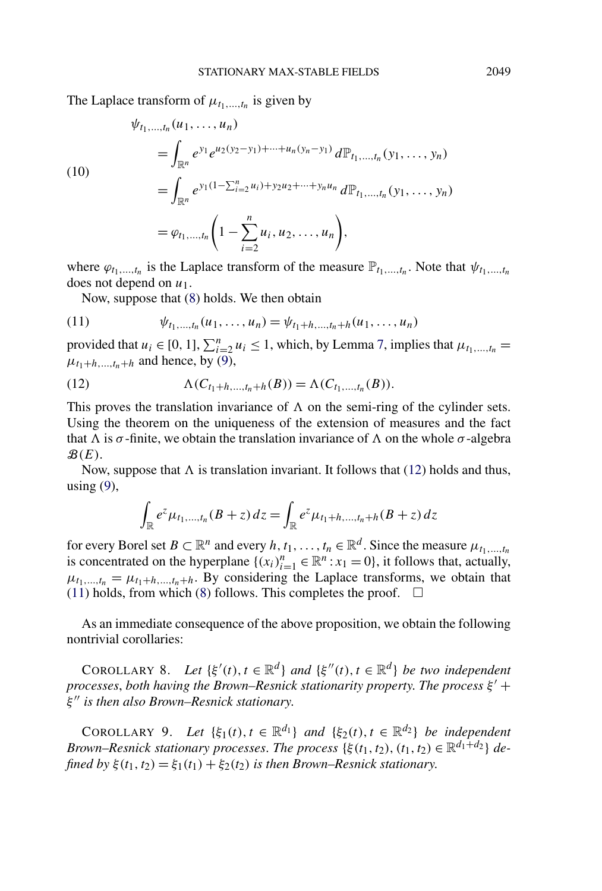<span id="page-7-0"></span>The Laplace transform of  $\mu_{t_1,\dots,t_n}$  is given by

(10)  
\n
$$
\psi_{t_1,\dots,t_n}(u_1,\dots,u_n)
$$
\n
$$
= \int_{\mathbb{R}^n} e^{y_1} e^{u_2(y_2-y_1)+\dots+u_n(y_n-y_1)} d\mathbb{P}_{t_1,\dots,t_n}(y_1,\dots,y_n)
$$
\n
$$
= \int_{\mathbb{R}^n} e^{y_1(1-\sum_{i=2}^n u_i)+y_2u_2+\dots+y_nu_n} d\mathbb{P}_{t_1,\dots,t_n}(y_1,\dots,y_n)
$$
\n
$$
= \varphi_{t_1,\dots,t_n}\bigg(1-\sum_{i=2}^n u_i,u_2,\dots,u_n\bigg),
$$

where  $\varphi_{t_1,\dots,t_n}$  is the Laplace transform of the measure  $\mathbb{P}_{t_1,\dots,t_n}$ . Note that  $\psi_{t_1,\dots,t_n}$ does not depend on *u*1.

Now, suppose that [\(8\)](#page-5-0) holds. We then obtain

(11) 
$$
\psi_{t_1,...,t_n}(u_1,...,u_n)=\psi_{t_1+h,...,t_n+h}(u_1,...,u_n)
$$

provided that  $u_i \in [0, 1]$ ,  $\sum_{i=2}^n u_i \le 1$ , which, by Lemma [7,](#page-6-0) implies that  $\mu_{t_1, \dots, t_n} =$  $\mu_{t_1+h,\dots,t_n+h}$  and hence, by [\(9\)](#page-6-0),

(12) 
$$
\Lambda(C_{t_1+h,\dots,t_n+h}(B)) = \Lambda(C_{t_1,\dots,t_n}(B)).
$$

This proves the translation invariance of  $\Lambda$  on the semi-ring of the cylinder sets. Using the theorem on the uniqueness of the extension of measures and the fact that  $\Lambda$  is  $\sigma$ -finite, we obtain the translation invariance of  $\Lambda$  on the whole  $\sigma$ -algebra B*(E)*.

Now, suppose that  $\Lambda$  is translation invariant. It follows that  $(12)$  holds and thus, using  $(9)$ ,

$$
\int_{\mathbb{R}} e^{z} \mu_{t_1,...,t_n}(B+z) dz = \int_{\mathbb{R}} e^{z} \mu_{t_1+h,...,t_n+h}(B+z) dz
$$

for every Borel set  $B \subset \mathbb{R}^n$  and every  $h, t_1, \ldots, t_n \in \mathbb{R}^d$ . Since the measure  $\mu_{t_1, \ldots, t_n}$ is concentrated on the hyperplane  $\{(x_i)_{i=1}^n \in \mathbb{R}^n : x_1 = 0\}$ , it follows that, actually,  $\mu_{t_1,\dots,t_n} = \mu_{t_1+h,\dots,t_n+h}$ . By considering the Laplace transforms, we obtain that (11) holds, from which [\(8\)](#page-5-0) follows. This completes the proof.  $\Box$ 

As an immediate consequence of the above proposition, we obtain the following nontrivial corollaries:

COROLLARY 8. Let  $\{\xi'(t), t \in \mathbb{R}^d\}$  and  $\{\xi''(t), t \in \mathbb{R}^d\}$  be two independent *processes*, *both having the Brown–Resnick stationarity property*. *The process ξ* + *ξ is then also Brown–Resnick stationary*.

COROLLARY 9. *Let*  $\{\xi_1(t), t \in \mathbb{R}^{d_1}\}\$  *and*  $\{\xi_2(t), t \in \mathbb{R}^{d_2}\}\$  *be independent Brown–Resnick stationary processes. The process*  $\{\xi(t_1, t_2), (t_1, t_2) \in \mathbb{R}^{d_1+d_2}\}\$  de*fined by*  $\xi(t_1, t_2) = \xi_1(t_1) + \xi_2(t_2)$  *is then Brown–Resnick stationary.*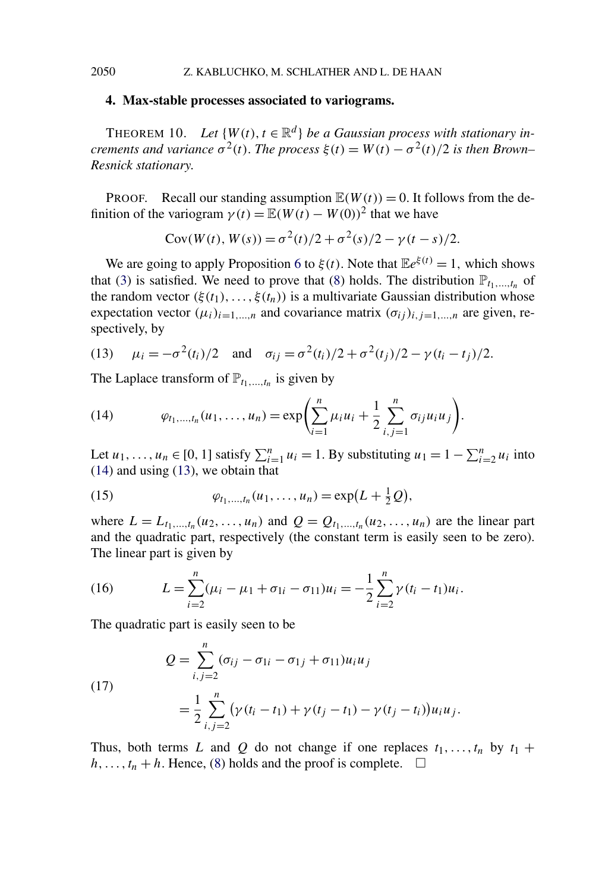## <span id="page-8-0"></span>**4. Max-stable processes associated to variograms.**

THEOREM 10. Let  $\{W(t), t \in \mathbb{R}^d\}$  be a Gaussian process with stationary in*crements and variance*  $\sigma^2(t)$ *. The process*  $\xi(t) = W(t) - \sigma^2(t)/2$  *is then Brown– Resnick stationary*.

**PROOF.** Recall our standing assumption  $\mathbb{E}(W(t)) = 0$ . It follows from the definition of the variogram  $\gamma(t) = \mathbb{E}(W(t) - W(0))^2$  that we have

Cov(W(t), W(s)) = 
$$
\sigma^2(t)/2 + \sigma^2(s)/2 - \gamma(t - s)/2
$$
.

We are going to apply Proposition [6](#page-5-0) to  $\xi(t)$ . Note that  $\mathbb{E}e^{\xi(t)} = 1$ , which shows that [\(3\)](#page-3-0) is satisfied. We need to prove that [\(8\)](#page-5-0) holds. The distribution  $\mathbb{P}_{t_1,...,t_n}$  of the random vector  $(\xi(t_1),..., \xi(t_n))$  is a multivariate Gaussian distribution whose expectation vector  $(\mu_i)_{i=1,...,n}$  and covariance matrix  $(\sigma_{ij})_{i,j=1,...,n}$  are given, respectively, by

(13) 
$$
\mu_i = -\sigma^2(t_i)/2
$$
 and  $\sigma_{ij} = \sigma^2(t_i)/2 + \sigma^2(t_j)/2 - \gamma(t_i - t_j)/2$ .

The Laplace transform of  $\mathbb{P}_{t_1,\ldots,t_n}$  is given by

(14) 
$$
\varphi_{t_1,...,t_n}(u_1,...,u_n) = \exp\biggl(\sum_{i=1}^n \mu_i u_i + \frac{1}{2}\sum_{i,j=1}^n \sigma_{ij} u_i u_j\biggr).
$$

Let  $u_1, \ldots, u_n \in [0, 1]$  satisfy  $\sum_{i=1}^n u_i = 1$ . By substituting  $u_1 = 1 - \sum_{i=2}^n u_i$  into (14) and using (13), we obtain that

(15) 
$$
\varphi_{t_1,...,t_n}(u_1,...,u_n) = \exp(L + \frac{1}{2}Q),
$$

where  $L = L_{t_1,\dots,t_n}(u_2,\dots,u_n)$  and  $Q = Q_{t_1,\dots,t_n}(u_2,\dots,u_n)$  are the linear part and the quadratic part, respectively (the constant term is easily seen to be zero). The linear part is given by

(16) 
$$
L = \sum_{i=2}^{n} (\mu_i - \mu_1 + \sigma_{1i} - \sigma_{11}) u_i = -\frac{1}{2} \sum_{i=2}^{n} \gamma (t_i - t_1) u_i.
$$

The quadratic part is easily seen to be

(17)  
\n
$$
Q = \sum_{i,j=2}^{n} (\sigma_{ij} - \sigma_{1i} - \sigma_{1j} + \sigma_{11}) u_i u_j
$$
\n
$$
= \frac{1}{2} \sum_{i,j=2}^{n} (\gamma (t_i - t_1) + \gamma (t_j - t_1) - \gamma (t_j - t_i)) u_i u_j.
$$

Thus, both terms *L* and *Q* do not change if one replaces  $t_1, \ldots, t_n$  by  $t_1 +$  $h, \ldots, t_n + h$ . Hence, [\(8\)](#page-5-0) holds and the proof is complete.  $\Box$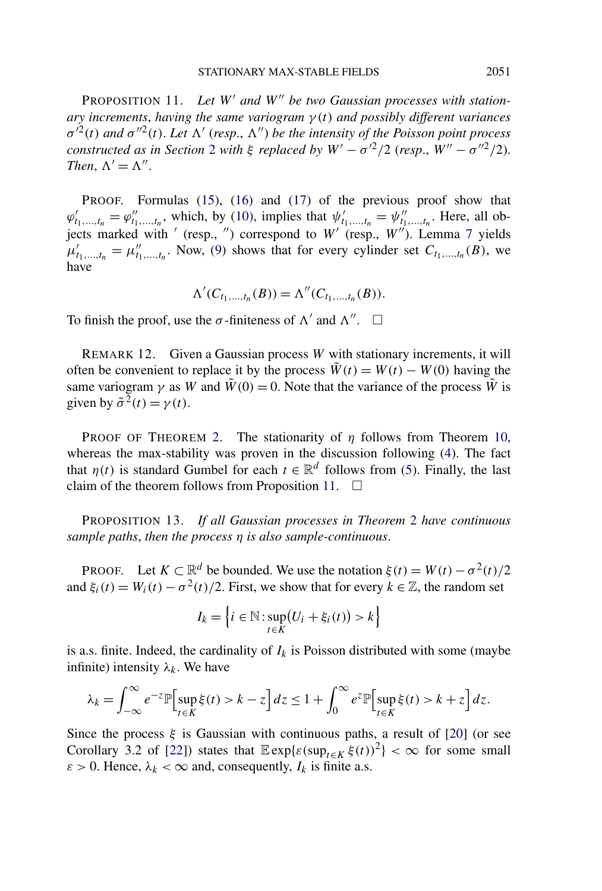<span id="page-9-0"></span>PROPOSITION 11. Let W' and W" be two Gaussian processes with station*ary increments*, *having the same variogram γ(t) and possibly different variances*  $\sigma^{2}(t)$  *and*  $\sigma^{1/2}(t)$ . Let  $\Lambda'$  (resp.,  $\Lambda''$ ) be the intensity of the Poisson point process *constructed as in Section* [2](#page-3-0) *with*  $\xi$  *replaced by*  $W' - \sigma'^2/2$  (*resp.,*  $W'' - \sigma''^2/2$ ). *Then*,  $\Lambda' = \Lambda''$ .

PROOF. Formulas [\(15\)](#page-8-0), [\(16\)](#page-8-0) and [\(17\)](#page-8-0) of the previous proof show that  $\varphi'_{t_1,...,t_n} = \varphi''_{t_1,...,t_n}$ , which, by [\(10\)](#page-7-0), implies that  $\psi'_{t_1,...,t_n} = \psi''_{t_1,...,t_n}$ . Here, all objects marked with ' (resp., ") correspond to *W*<sup>'</sup> (resp., *W*<sup>''</sup>). Lemma [7](#page-6-0) yields  $\mu'_{t_1,\dots,t_n} = \mu''_{t_1,\dots,t_n}$ . Now, [\(9\)](#page-6-0) shows that for every cylinder set  $C_{t_1,\dots,t_n}(B)$ , we have

$$
\Lambda'(C_{t_1,\ldots,t_n}(B))=\Lambda''(C_{t_1,\ldots,t_n}(B)).
$$

To finish the proof, use the  $\sigma$ -finiteness of  $\Lambda'$  and  $\Lambda''$ .  $\Box$ 

REMARK 12. Given a Gaussian process *W* with stationary increments, it will often be convenient to replace it by the process  $\tilde{W}(t) = W(t) - W(0)$  having the same variogram  $\gamma$  as *W* and  $\tilde{W}(0) = 0$ . Note that the variance of the process  $\tilde{W}$  is given by  $\tilde{\sigma}^2(t) = \gamma(t)$ .

PROOF OF THEOREM [2.](#page-2-0) The stationarity of *η* follows from Theorem [10,](#page-8-0) whereas the max-stability was proven in the discussion following [\(4\)](#page-3-0). The fact that  $\eta(t)$  is standard Gumbel for each  $t \in \mathbb{R}^d$  follows from [\(5\)](#page-3-0). Finally, the last claim of the theorem follows from Proposition 11.  $\Box$ 

PROPOSITION 13. *If all Gaussian processes in Theorem* [2](#page-2-0) *have continuous sample paths*, *then the process η is also sample-continuous*.

PROOF. Let  $K \subset \mathbb{R}^d$  be bounded. We use the notation  $\xi(t) = W(t) - \sigma^2(t)/2$ and  $\xi_i(t) = W_i(t) - \sigma^2(t)/2$ . First, we show that for every  $k \in \mathbb{Z}$ , the random set

$$
I_k = \left\{ i \in \mathbb{N} : \sup_{t \in K} (U_i + \xi_i(t)) > k \right\}
$$

is a.s. finite. Indeed, the cardinality of  $I_k$  is Poisson distributed with some (maybe infinite) intensity  $\lambda_k$ . We have

$$
\lambda_k = \int_{-\infty}^{\infty} e^{-z} \mathbb{P} \Big[ \sup_{t \in K} \xi(t) > k - z \Big] dz \leq 1 + \int_{0}^{\infty} e^{z} \mathbb{P} \Big[ \sup_{t \in K} \xi(t) > k + z \Big] dz.
$$

Since the process  $\xi$  is Gaussian with continuous paths, a result of [\[20\]](#page-23-0) (or see Corollary 3.2 of [\[22\]](#page-23-0)) states that  $\mathbb{E} \exp{\{\varepsilon(\sup_{t \in K} \xi(t))^2\}} < \infty$  for some small  $\varepsilon > 0$ . Hence,  $\lambda_k < \infty$  and, consequently,  $I_k$  is finite a.s.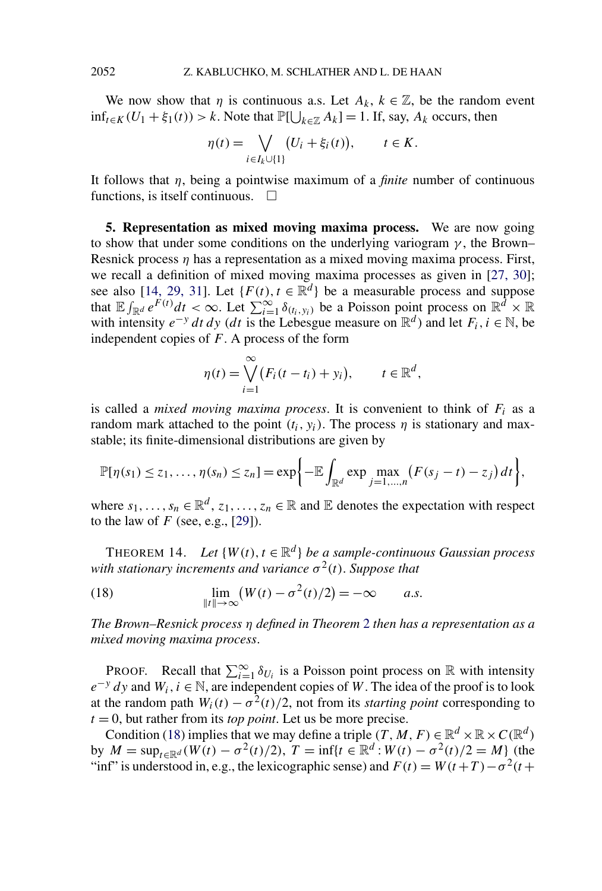<span id="page-10-0"></span>We now show that  $\eta$  is continuous a.s. Let  $A_k$ ,  $k \in \mathbb{Z}$ , be the random event  $\inf_{t \in K} (U_1 + \xi_1(t)) > k$ . Note that  $\mathbb{P}[\bigcup_{k \in \mathbb{Z}} A_k] = 1$ . If, say,  $A_k$  occurs, then

$$
\eta(t) = \bigvee_{i \in I_k \cup \{1\}} (U_i + \xi_i(t)), \qquad t \in K.
$$

It follows that  $\eta$ , being a pointwise maximum of a *finite* number of continuous functions, is itself continuous.  $\Box$ 

**5. Representation as mixed moving maxima process.** We are now going to show that under some conditions on the underlying variogram  $\gamma$ , the Brown– Resnick process *η* has a representation as a mixed moving maxima process. First, we recall a definition of mixed moving maxima processes as given in [\[27, 30\]](#page-23-0); see also [\[14, 29, 31\]](#page-23-0). Let  $\{F(t), t \in \mathbb{R}^d\}$  be a measurable process and suppose that  $\mathbb{E} \int_{\mathbb{R}^d} e^{F(t)} dt < \infty$ . Let  $\sum_{i=1}^{\infty} \delta_{(t_i, y_i)}$  be a Poisson point process on  $\mathbb{R}^d \times \mathbb{R}$ with intensity  $e^{-y}$  *dt dy* (*dt* is the Lebesgue measure on  $\mathbb{R}^d$ ) and let  $F_i$ ,  $i \in \mathbb{N}$ , be independent copies of *F*. A process of the form

$$
\eta(t) = \bigvee_{i=1}^{\infty} \bigl( F_i(t - t_i) + y_i \bigr), \qquad t \in \mathbb{R}^d,
$$

is called a *mixed moving maxima process*. It is convenient to think of *Fi* as a random mark attached to the point  $(t_i, y_i)$ . The process  $\eta$  is stationary and maxstable; its finite-dimensional distributions are given by

$$
\mathbb{P}[\eta(s_1) \leq z_1,\ldots,\eta(s_n) \leq z_n] = \exp\bigg\{-\mathbb{E}\int_{\mathbb{R}^d} \exp\max_{j=1,\ldots,n}\big(F(s_j-t)-z_j\big)dt\bigg\},\,
$$

where  $s_1, \ldots, s_n \in \mathbb{R}^d$ ,  $z_1, \ldots, z_n \in \mathbb{R}$  and  $\mathbb E$  denotes the expectation with respect to the law of  $F$  (see, e.g., [\[29\]](#page-23-0)).

THEOREM 14. *Let*  $\{W(t), t \in \mathbb{R}^d\}$  *be a sample-continuous Gaussian process with stationary increments and variance*  $\sigma^2(t)$ *. Suppose that* 

(18) 
$$
\lim_{\|t\| \to \infty} (W(t) - \sigma^2(t)/2) = -\infty \quad a.s.
$$

*The Brown–Resnick process η defined in Theorem* [2](#page-2-0) *then has a representation as a mixed moving maxima process*.

**PROOF.** Recall that  $\sum_{i=1}^{\infty} \delta_{U_i}$  is a Poisson point process on R with intensity  $e^{-y}$  *dy* and  $W_i$ ,  $i \in \mathbb{N}$ , are independent copies of *W*. The idea of the proof is to look at the random path  $W_i(t) - \sigma^2(t)/2$ , not from its *starting point* corresponding to  $t = 0$ , but rather from its *top point*. Let us be more precise.

Condition (18) implies that we may define a triple  $(T, M, F) \in \mathbb{R}^d \times \mathbb{R} \times C(\mathbb{R}^d)$ by  $M = \sup_{t \in \mathbb{R}^d} (W(t) - \sigma^2(t)/2)$ ,  $T = \inf\{t \in \mathbb{R}^d : W(t) - \sigma^2(t)/2 = M\}$  (the "inf" is understood in, e.g., the lexicographic sense) and  $F(t) = W(t+T) - \sigma^2(t+T)$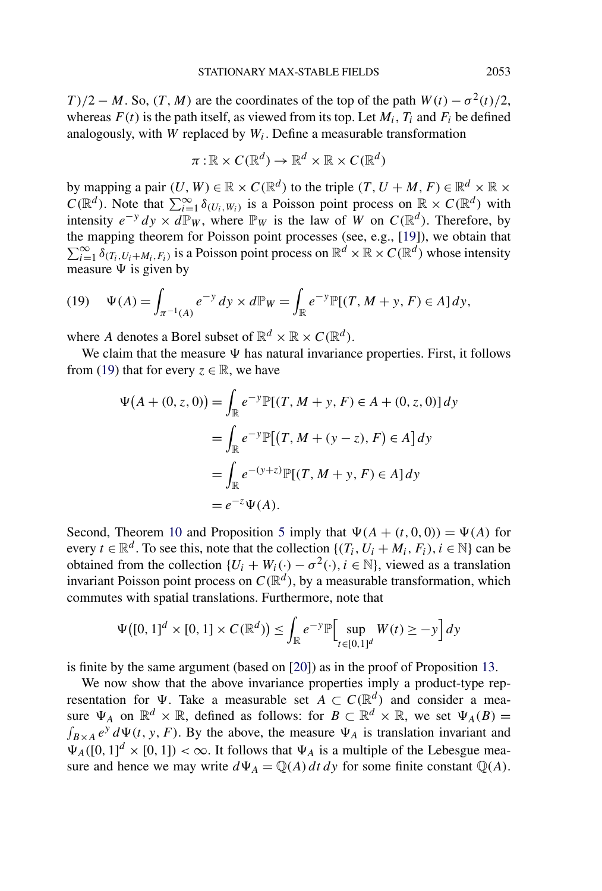*T*)/2 − *M*. So,  $(T, M)$  are the coordinates of the top of the path  $W(t) - \sigma^2(t)/2$ , whereas  $F(t)$  is the path itself, as viewed from its top. Let  $M_i$ ,  $T_i$  and  $F_i$  be defined analogously, with *W* replaced by  $W_i$ . Define a measurable transformation

$$
\pi:\mathbb{R}\times C(\mathbb{R}^d)\to \mathbb{R}^d\times \mathbb{R}\times C(\mathbb{R}^d)
$$

by mapping a pair  $(U, W) \in \mathbb{R} \times C(\mathbb{R}^d)$  to the triple  $(T, U + M, F) \in \mathbb{R}^d \times \mathbb{R} \times$  $C(\mathbb{R}^d)$ . Note that  $\sum_{i=1}^{\infty} \delta_{(U_i, W_i)}$  is a Poisson point process on  $\mathbb{R} \times C(\mathbb{R}^d)$  with intensity  $e^{-y} dy \times d\mathbb{P}_W$ , where  $\mathbb{P}_W$  is the law of *W* on  $C(\mathbb{R}^d)$ . Therefore, by the mapping theorem for Poisson point processes (see, e.g., [\[19\]](#page-23-0)), we obtain that  $\sum_{i=1}^{\infty} \delta(T_i, U_i + M_i, F_i)$  is a Poisson point process on  $\mathbb{R}^d \times \mathbb{R} \times C(\mathbb{R}^d)$  whose intensity measure  $\Psi$  is given by

(19) 
$$
\Psi(A) = \int_{\pi^{-1}(A)} e^{-y} dy \times d\mathbb{P}_W = \int_{\mathbb{R}} e^{-y} \mathbb{P}[(T, M + y, F) \in A] dy,
$$

where *A* denotes a Borel subset of  $\mathbb{R}^d \times \mathbb{R} \times C(\mathbb{R}^d)$ .

We claim that the measure  $\Psi$  has natural invariance properties. First, it follows from (19) that for every  $z \in \mathbb{R}$ , we have

$$
\Psi(A + (0, z, 0)) = \int_{\mathbb{R}} e^{-y} \mathbb{P}[(T, M + y, F) \in A + (0, z, 0)] dy
$$
  
= 
$$
\int_{\mathbb{R}} e^{-y} \mathbb{P}[(T, M + (y - z), F) \in A] dy
$$
  
= 
$$
\int_{\mathbb{R}} e^{-(y+z)} \mathbb{P}[(T, M + y, F) \in A] dy
$$
  
= 
$$
e^{-z} \Psi(A).
$$

Second, Theorem [10](#page-8-0) and Proposition [5](#page-4-0) imply that  $\Psi(A + (t, 0, 0)) = \Psi(A)$  for every  $t \in \mathbb{R}^d$ . To see this, note that the collection  $\{(T_i, U_i + M_i, F_i), i \in \mathbb{N}\}\)$  can be obtained from the collection  $\{U_i + W_i(\cdot) - \sigma^2(\cdot), i \in \mathbb{N}\}\)$ , viewed as a translation invariant Poisson point process on  $C(\mathbb{R}^d)$ , by a measurable transformation, which commutes with spatial translations. Furthermore, note that

$$
\Psi([0,1]^d \times [0,1] \times C(\mathbb{R}^d)) \le \int_{\mathbb{R}} e^{-y} \mathbb{P} \Big[ \sup_{t \in [0,1]^d} W(t) \ge -y \Big] dy
$$

is finite by the same argument (based on [\[20\]](#page-23-0)) as in the proof of Proposition [13.](#page-9-0)

We now show that the above invariance properties imply a product-type representation for  $\Psi$ . Take a measurable set  $A \subset C(\mathbb{R}^d)$  and consider a measure  $\Psi_A$  on  $\mathbb{R}^d \times \mathbb{R}$ , defined as follows: for  $B \subset \mathbb{R}^d \times \mathbb{R}$ , we set  $\Psi_A(B) =$  $\int_{B \times A} e^{y} d\Psi(t, y, F)$ . By the above, the measure  $\Psi_A$  is translation invariant and  $\Psi_A([0,1]^d \times [0,1]) < \infty$ . It follows that  $\Psi_A$  is a multiple of the Lebesgue measure and hence we may write  $d\Psi_A = \mathbb{Q}(A) dt dy$  for some finite constant  $\mathbb{Q}(A)$ .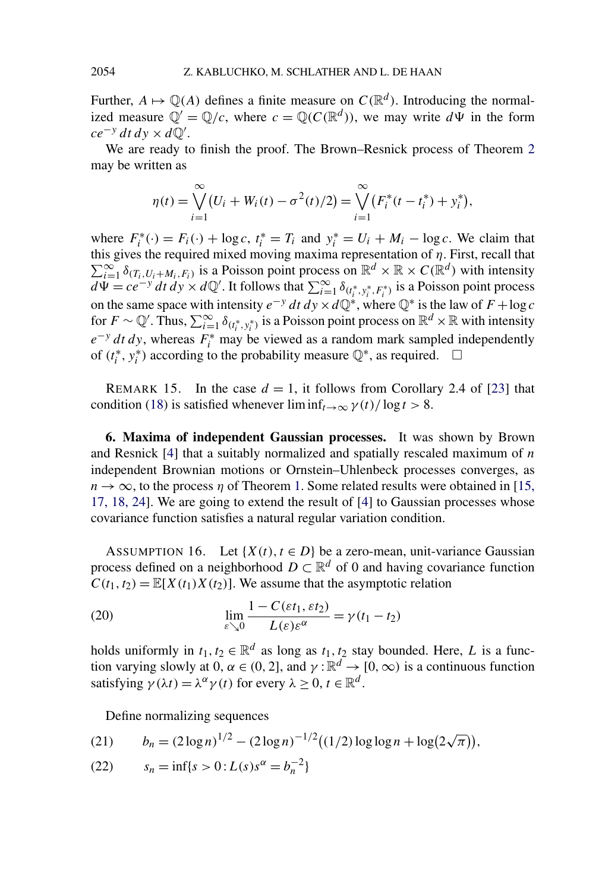Further,  $A \mapsto \mathbb{Q}(A)$  defines a finite measure on  $C(\mathbb{R}^d)$ . Introducing the normalized measure  $\mathbb{Q}' = \mathbb{Q}/c$ , where  $c = \mathbb{Q}(C(\mathbb{R}^d))$ , we may write  $d\Psi$  in the form  $ce^{-y} dt dy \times dQ'$ .

We are ready to finish the proof. The Brown–Resnick process of Theorem [2](#page-2-0) may be written as

$$
\eta(t) = \bigvee_{i=1}^{\infty} (U_i + W_i(t) - \sigma^2(t)/2) = \bigvee_{i=1}^{\infty} (F_i^*(t - t_i^*) + y_i^*),
$$

where  $F_i^*(\cdot) = F_i(\cdot) + \log c$ ,  $t_i^* = T_i$  and  $y_i^* = U_i + M_i - \log c$ . We claim that this gives the required mixed moving maxima representation of *η*. First, recall that  $\sum_{i=1}^{\infty} \delta_{(T_i, U_i + M_i, F_i)}$  is a Poisson point process on  $\mathbb{R}^d \times \mathbb{R} \times C(\mathbb{R}^d)$  with intensity  $d\Psi = ce^{-y} dt dy \times d\mathbb{Q}'$ . It follows that  $\sum_{i=1}^{\infty} \delta_{(t_i^*, y_i^*, F_i^*)}$  is a Poisson point process on the same space with intensity  $e^{-y} dt dy \times dQ^*$ , where  $Q^*$  is the law of  $F + \log c$ for  $F \sim \mathbb{Q}'$ . Thus,  $\sum_{i=1}^{\infty} \delta_{(t_i^*, y_i^*)}$  is a Poisson point process on  $\mathbb{R}^d \times \mathbb{R}$  with intensity  $e^{-y}$  *dt dy*, whereas  $F_i^*$  may be viewed as a random mark sampled independently of  $(t_i^*, y_i^*)$  according to the probability measure  $\mathbb{Q}^*$ , as required.  $\Box$ 

REMARK 15. In the case  $d = 1$ , it follows from Corollary 2.4 of [\[23\]](#page-23-0) that condition [\(18\)](#page-10-0) is satisfied whenever  $\liminf_{t\to\infty} \gamma(t)/\log t > 8$ .

**6. Maxima of independent Gaussian processes.** It was shown by Brown and Resnick [\[4\]](#page-22-0) that a suitably normalized and spatially rescaled maximum of *n* independent Brownian motions or Ornstein–Uhlenbeck processes converges, as  $n \to \infty$ , to the process *η* of Theorem [1.](#page-1-0) Some related results were obtained in [\[15,](#page-23-0) [17, 18, 24\]](#page-23-0). We are going to extend the result of [\[4\]](#page-22-0) to Gaussian processes whose covariance function satisfies a natural regular variation condition.

ASSUMPTION 16. Let  $\{X(t), t \in D\}$  be a zero-mean, unit-variance Gaussian process defined on a neighborhood  $D \subset \mathbb{R}^d$  of 0 and having covariance function  $C(t_1, t_2) = \mathbb{E}[X(t_1)X(t_2)]$ . We assume that the asymptotic relation

(20) 
$$
\lim_{\varepsilon \searrow 0} \frac{1 - C(\varepsilon t_1, \varepsilon t_2)}{L(\varepsilon) \varepsilon^{\alpha}} = \gamma (t_1 - t_2)
$$

holds uniformly in  $t_1, t_2 \in \mathbb{R}^d$  as long as  $t_1, t_2$  stay bounded. Here, *L* is a function varying slowly at 0,  $\alpha \in (0, 2]$ , and  $\gamma : \mathbb{R}^d \to [0, \infty)$  is a continuous function satisfying  $\gamma(\lambda t) = \lambda^{\alpha} \gamma(t)$  for every  $\lambda \geq 0, t \in \mathbb{R}^d$ .

Define normalizing sequences

(21) 
$$
b_n = (2\log n)^{1/2} - (2\log n)^{-1/2}((1/2)\log\log n + \log(2\sqrt{\pi})),
$$

(22) 
$$
s_n = \inf\{s > 0 : L(s)s^{\alpha} = b_n^{-2}\}\
$$

<span id="page-12-0"></span>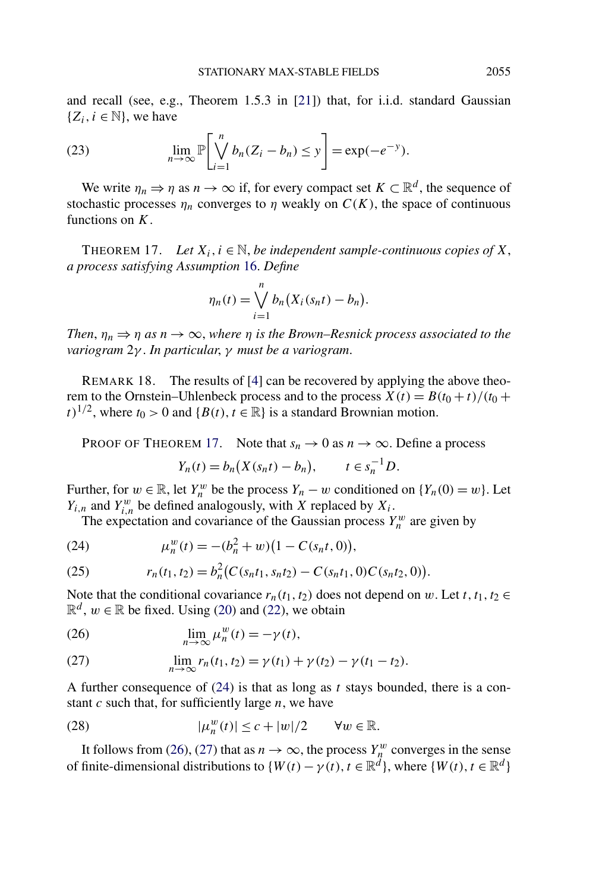<span id="page-13-0"></span>and recall (see, e.g., Theorem 1.5.3 in [\[21\]](#page-23-0)) that, for i.i.d. standard Gaussian  $\{Z_i, i \in \mathbb{N}\}\$ , we have

(23) 
$$
\lim_{n \to \infty} \mathbb{P}\bigg[\bigvee_{i=1}^{n} b_n (Z_i - b_n) \leq y\bigg] = \exp(-e^{-y}).
$$

We write  $\eta_n \Rightarrow \eta$  as  $n \to \infty$  if, for every compact set  $K \subset \mathbb{R}^d$ , the sequence of stochastic processes  $\eta_n$  converges to  $\eta$  weakly on  $C(K)$ , the space of continuous functions on *K*.

THEOREM 17. Let  $X_i$ ,  $i \in \mathbb{N}$ , be independent sample-continuous copies of X, *a process satisfying Assumption* [16.](#page-12-0) *Define*

$$
\eta_n(t) = \bigvee_{i=1}^n b_n(X_i(s_n t) - b_n).
$$

*Then*,  $\eta_n \Rightarrow \eta$  *as*  $n \to \infty$ , where  $\eta$  *is the Brown–Resnick process associated to the variogram* 2*γ* . *In particular*, *γ must be a variogram*.

REMARK 18. The results of [\[4\]](#page-22-0) can be recovered by applying the above theorem to the Ornstein–Uhlenbeck process and to the process  $X(t) = B(t_0 + t)/(t_0 + t_0)$  $t$ <sup>1/2</sup>, where  $t_0 > 0$  and {*B(t), t*  $\in \mathbb{R}$ } is a standard Brownian motion.

PROOF OF THEOREM 17. Note that  $s_n \to 0$  as  $n \to \infty$ . Define a process

$$
Y_n(t) = b_n(X(s_nt) - b_n), \qquad t \in s_n^{-1}D.
$$

Further, for  $w \in \mathbb{R}$ , let  $Y_n^w$  be the process  $Y_n - w$  conditioned on  $\{Y_n(0) = w\}$ . Let  $Y_{i,n}$  and  $Y_{i,n}^w$  be defined analogously, with *X* replaced by  $X_i$ .

The expectation and covariance of the Gaussian process  $Y_n^w$  are given by

(24) 
$$
\mu_n^w(t) = -(b_n^2 + w)(1 - C(s_n t, 0)),
$$

(25) 
$$
r_n(t_1, t_2) = b_n^2 (C(s_n t_1, s_n t_2) - C(s_n t_1, 0) C(s_n t_2, 0)).
$$

Note that the conditional covariance  $r_n(t_1, t_2)$  does not depend on *w*. Let *t*,  $t_1, t_2 \in$  $\mathbb{R}^d$ ,  $w \in \mathbb{R}$  be fixed. Using [\(20\)](#page-12-0) and [\(22\)](#page-12-0), we obtain

(26) 
$$
\lim_{n \to \infty} \mu_n^w(t) = -\gamma(t),
$$

(27) 
$$
\lim_{n \to \infty} r_n(t_1, t_2) = \gamma(t_1) + \gamma(t_2) - \gamma(t_1 - t_2).
$$

A further consequence of (24) is that as long as *t* stays bounded, there is a constant *c* such that, for sufficiently large *n*, we have

(28) 
$$
|\mu_n^w(t)| \leq c + |w|/2 \quad \forall w \in \mathbb{R}.
$$

It follows from (26), (27) that as  $n \to \infty$ , the process  $Y_n^w$  converges in the sense of finite-dimensional distributions to  $\{W(t) - \gamma(t), t \in \mathbb{R}^d\}$ , where  $\{W(t), t \in \mathbb{R}^d\}$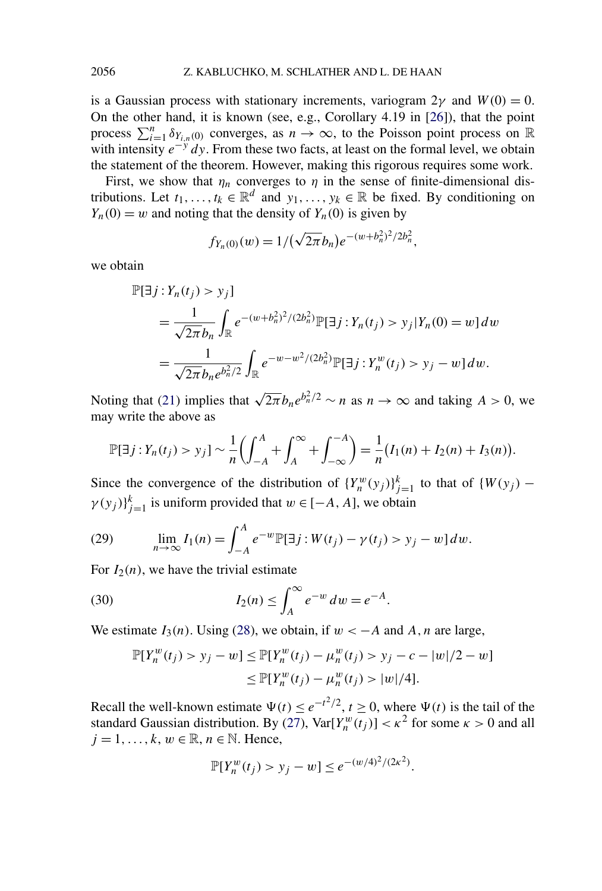is a Gaussian process with stationary increments, variogram  $2\gamma$  and  $W(0) = 0$ . On the other hand, it is known (see, e.g., Corollary 4.19 in [\[26\]](#page-23-0)), that the point process  $\sum_{i=1}^{n} \delta_{Y_{i,n}(0)}$  converges, as  $n \to \infty$ , to the Poisson point process on R with intensity *e*−*<sup>y</sup> dy*. From these two facts, at least on the formal level, we obtain the statement of the theorem. However, making this rigorous requires some work.

First, we show that  $\eta_n$  converges to  $\eta$  in the sense of finite-dimensional distributions. Let  $t_1, \ldots, t_k \in \mathbb{R}^d$  and  $y_1, \ldots, y_k \in \mathbb{R}$  be fixed. By conditioning on  $Y_n(0) = w$  and noting that the density of  $Y_n(0)$  is given by

$$
f_{Y_n(0)}(w) = 1/(\sqrt{2\pi b_n})e^{-(w+b_n^2)^2/2b_n^2},
$$

we obtain

$$
\mathbb{P}[\exists j: Y_n(t_j) > y_j] \\
= \frac{1}{\sqrt{2\pi} b_n} \int_{\mathbb{R}} e^{-(w+b_n^2)^2/(2b_n^2)} \mathbb{P}[\exists j: Y_n(t_j) > y_j | Y_n(0) = w] \, dw \\
= \frac{1}{\sqrt{2\pi} b_n e^{b_n^2/2}} \int_{\mathbb{R}} e^{-w-w^2/(2b_n^2)} \mathbb{P}[\exists j: Y_n^w(t_j) > y_j - w] \, dw.
$$

Noting that [\(21\)](#page-12-0) implies that  $\sqrt{2\pi}b_ne^{b_n^2/2} \sim n$  as  $n \to \infty$  and taking  $A > 0$ , we may write the above as

$$
\mathbb{P}[\exists j: Y_n(t_j) > y_j] \sim \frac{1}{n} \left( \int_{-A}^{A} + \int_{A}^{\infty} + \int_{-\infty}^{-A} \right) = \frac{1}{n} (I_1(n) + I_2(n) + I_3(n)).
$$

Since the convergence of the distribution of  ${Y_n^w(y_j)}_{j=1}^k$  to that of  ${W(y_j)}$  –  $\gamma(y_j) \}_{j=1}^k$  is uniform provided that  $w \in [-A, A]$ , we obtain

(29) 
$$
\lim_{n \to \infty} I_1(n) = \int_{-A}^{A} e^{-w} \mathbb{P}[\exists j : W(t_j) - \gamma(t_j) > y_j - w] dw.
$$

For  $I_2(n)$ , we have the trivial estimate

(30) 
$$
I_2(n) \leq \int_A^{\infty} e^{-w} dw = e^{-A}.
$$

We estimate  $I_3(n)$ . Using [\(28\)](#page-13-0), we obtain, if  $w < -A$  and  $A$ ,  $n$  are large,

$$
\mathbb{P}[Y_n^w(t_j) > y_j - w] \le \mathbb{P}[Y_n^w(t_j) - \mu_n^w(t_j) > y_j - c - |w|/2 - w] \\
 \le \mathbb{P}[Y_n^w(t_j) - \mu_n^w(t_j) > |w|/4].
$$

Recall the well-known estimate  $\Psi(t) \leq e^{-t^2/2}$ ,  $t \geq 0$ , where  $\Psi(t)$  is the tail of the standard Gaussian distribution. By [\(27\)](#page-13-0),  $\text{Var}[Y_n^w(t_j)] < \kappa^2$  for some  $\kappa > 0$  and all  $j = 1, \ldots, k, w \in \mathbb{R}, n \in \mathbb{N}$ . Hence,

$$
\mathbb{P}[Y_n^w(t_j) > y_j - w] \le e^{-(w/4)^2/(2\kappa^2)}.
$$

<span id="page-14-0"></span>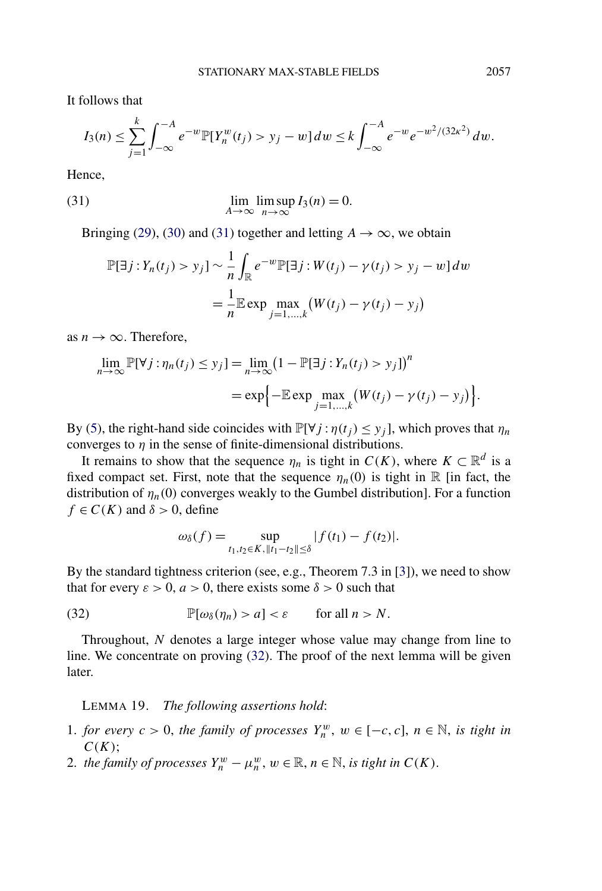<span id="page-15-0"></span>It follows that

$$
I_3(n) \leq \sum_{j=1}^k \int_{-\infty}^{-A} e^{-w} \mathbb{P}[Y_n^w(t_j) > y_j - w] dw \leq k \int_{-\infty}^{-A} e^{-w} e^{-w^2/(32\kappa^2)} dw.
$$

Hence,

(31) 
$$
\lim_{A \to \infty} \lim_{n \to \infty} I_3(n) = 0.
$$

Bringing [\(29\)](#page-14-0), [\(30\)](#page-14-0) and (31) together and letting  $A \rightarrow \infty$ , we obtain

$$
\mathbb{P}[\exists j: Y_n(t_j) > y_j] \sim \frac{1}{n} \int_{\mathbb{R}} e^{-w} \mathbb{P}[\exists j: W(t_j) - \gamma(t_j) > y_j - w] \, dw
$$
\n
$$
= \frac{1}{n} \mathbb{E} \exp \max_{j=1,\dots,k} \left( W(t_j) - \gamma(t_j) - y_j \right)
$$

as  $n \to \infty$ . Therefore,

$$
\lim_{n \to \infty} \mathbb{P}[\forall j : \eta_n(t_j) \le y_j] = \lim_{n \to \infty} (1 - \mathbb{P}[\exists j : Y_n(t_j) > y_j])^n
$$
  
=  $\exp\left\{-\mathbb{E}\exp\max_{j=1,\dots,k} (W(t_j) - \gamma(t_j) - y_j)\right\}.$ 

By [\(5\)](#page-3-0), the right-hand side coincides with  $\mathbb{P}[\forall j : \eta(t_i) \leq y_i]$ , which proves that  $\eta_n$ converges to  $\eta$  in the sense of finite-dimensional distributions.

It remains to show that the sequence  $\eta_n$  is tight in  $C(K)$ , where  $K \subset \mathbb{R}^d$  is a fixed compact set. First, note that the sequence  $\eta_n(0)$  is tight in R [in fact, the distribution of  $\eta_n(0)$  converges weakly to the Gumbel distribution]. For a function  $f \in C(K)$  and  $\delta > 0$ , define

$$
\omega_{\delta}(f) = \sup_{t_1, t_2 \in K, \|t_1 - t_2\| \le \delta} |f(t_1) - f(t_2)|.
$$

By the standard tightness criterion (see, e.g., Theorem 7.3 in [\[3\]](#page-22-0)), we need to show that for every  $\varepsilon > 0$ ,  $a > 0$ , there exists some  $\delta > 0$  such that

(32) 
$$
\mathbb{P}[\omega_{\delta}(\eta_n) > a] < \varepsilon \quad \text{for all } n > N.
$$

Throughout, *N* denotes a large integer whose value may change from line to line. We concentrate on proving (32). The proof of the next lemma will be given later.

LEMMA 19. *The following assertions hold*:

- 1. *for every*  $c > 0$ , *the family of processes*  $Y_n^w$ ,  $w \in [-c, c]$ ,  $n \in \mathbb{N}$ , *is tight in C(K)*;
- 2. *the family of processes*  $Y_n^w \mu_n^w$ ,  $w \in \mathbb{R}$ ,  $n \in \mathbb{N}$ , *is tight in*  $C(K)$ .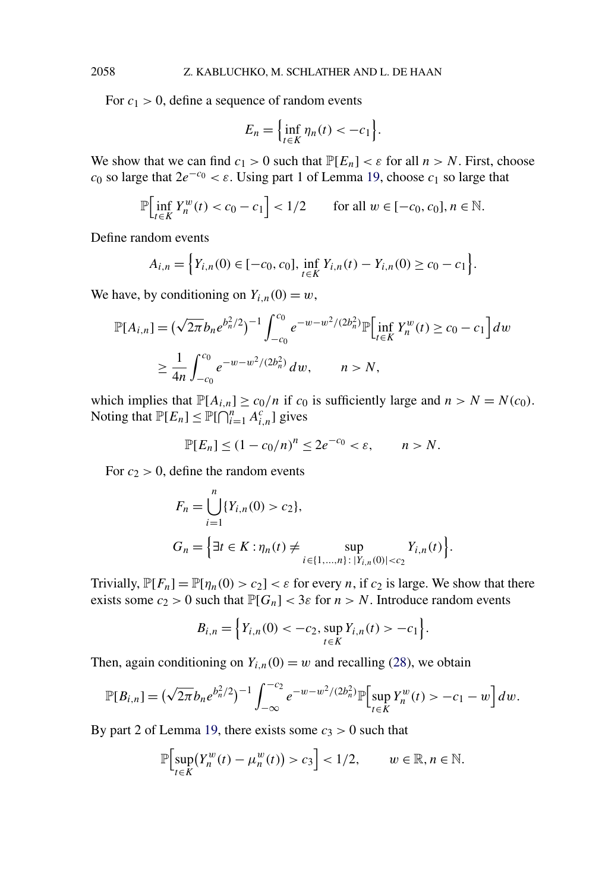For  $c_1 > 0$ , define a sequence of random events

$$
E_n = \left\{ \inf_{t \in K} \eta_n(t) < -c_1 \right\}.
$$

We show that we can find  $c_1 > 0$  such that  $P[E_n] < \varepsilon$  for all  $n > N$ . First, choose *c*<sub>0</sub> so large that  $2e^{-c_0} < \varepsilon$ . Using part 1 of Lemma [19,](#page-15-0) choose  $c_1$  so large that

$$
\mathbb{P}\Big[\inf_{t\in K}Y_n^w(t) < c_0 - c_1\Big] < 1/2 \qquad \text{for all } w \in [-c_0, c_0], n \in \mathbb{N}.
$$

Define random events

$$
A_{i,n} = \Big\{ Y_{i,n}(0) \in [-c_0, c_0], \inf_{t \in K} Y_{i,n}(t) - Y_{i,n}(0) \ge c_0 - c_1 \Big\}.
$$

We have, by conditioning on  $Y_{i,n}(0) = w$ ,

$$
\mathbb{P}[A_{i,n}] = (\sqrt{2\pi b_n} e^{b_n^2/2})^{-1} \int_{-c_0}^{c_0} e^{-w - w^2/(2b_n^2)} \mathbb{P}\Big[\inf_{t \in K} Y_n^w(t) \ge c_0 - c_1\Big] dw
$$
  

$$
\ge \frac{1}{4n} \int_{-c_0}^{c_0} e^{-w - w^2/(2b_n^2)} dw, \qquad n > N,
$$

which implies that  $\mathbb{P}[A_{i,n}] \ge c_0/n$  if  $c_0$  is sufficiently large and  $n > N = N(c_0)$ . Noting that  $\mathbb{P}[E_n] \le \mathbb{P}[\bigcap_{i=1}^n A_{i,n}^c]$  gives

$$
\mathbb{P}[E_n] \le (1 - c_0/n)^n \le 2e^{-c_0} < \varepsilon, \qquad n > N.
$$

For  $c_2 > 0$ , define the random events

$$
F_n = \bigcup_{i=1}^n \{ Y_{i,n}(0) > c_2 \},
$$
  
\n
$$
G_n = \Big\{ \exists t \in K : \eta_n(t) \neq \sup_{i \in \{1, ..., n\} : |Y_{i,n}(0)| < c_2} Y_{i,n}(t) \Big\}.
$$

Trivially,  $\mathbb{P}[F_n] = \mathbb{P}[\eta_n(0) > c_2] < \varepsilon$  for every *n*, if  $c_2$  is large. We show that there exists some  $c_2 > 0$  such that  $P[G_n] < 3\varepsilon$  for  $n > N$ . Introduce random events

$$
B_{i,n} = \Big\{ Y_{i,n}(0) < -c_2, \sup_{t \in K} Y_{i,n}(t) > -c_1 \Big\}.
$$

Then, again conditioning on  $Y_{i,n}(0) = w$  and recalling [\(28\)](#page-13-0), we obtain

$$
\mathbb{P}[B_{i,n}] = (\sqrt{2\pi}b_n e^{b_n^2/2})^{-1} \int_{-\infty}^{-c_2} e^{-w-w^2/(2b_n^2)} \mathbb{P} \Big[ \sup_{t \in K} Y_n^w(t) > -c_1 - w \Big] dw.
$$

By part 2 of Lemma [19,](#page-15-0) there exists some  $c_3 > 0$  such that

$$
\mathbb{P}\Big[\sup_{t\in K}\big(Y_n^w(t)-\mu_n^w(t)\big)>c_3\Big]<1/2,\qquad w\in\mathbb{R}, n\in\mathbb{N}.
$$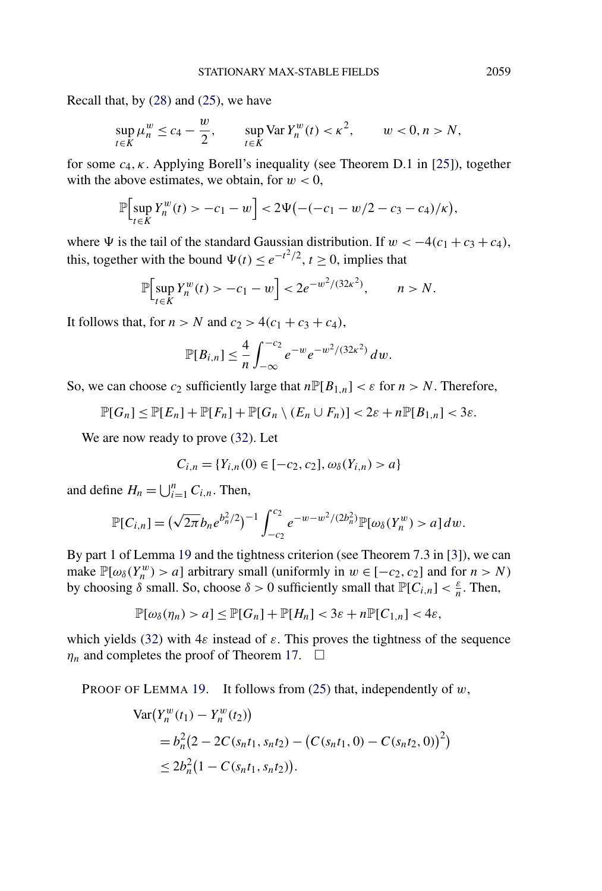Recall that, by [\(28\)](#page-13-0) and [\(25\)](#page-13-0), we have

$$
\sup_{t \in K} \mu_n^w \le c_4 - \frac{w}{2}, \qquad \sup_{t \in K} \text{Var}\, Y_n^w(t) < \kappa^2, \qquad w < 0, n > N,
$$

for some *c*4*,κ*. Applying Borell's inequality (see Theorem D.1 in [\[25\]](#page-23-0)), together with the above estimates, we obtain, for  $w < 0$ ,

$$
\mathbb{P}\Big[\sup_{t\in K} Y_n^w(t) > -c_1 - w\Big] < 2\Psi\big(-( -c_1 - w/2 - c_3 - c_4)/\kappa\big),
$$

where  $\Psi$  is the tail of the standard Gaussian distribution. If  $w < -4(c_1 + c_3 + c_4)$ , this, together with the bound  $\Psi(t) \le e^{-t^2/2}$ ,  $t \ge 0$ , implies that

$$
\mathbb{P}\Big[\sup_{t\in K} Y_n^w(t) > -c_1 - w\Big] < 2e^{-w^2/(32\kappa^2)}, \qquad n > N.
$$

It follows that, for  $n > N$  and  $c_2 > 4(c_1 + c_3 + c_4)$ ,

$$
\mathbb{P}[B_{i,n}] \leq \frac{4}{n} \int_{-\infty}^{-c_2} e^{-w} e^{-w^2/(32\kappa^2)} dw.
$$

So, we can choose  $c_2$  sufficiently large that  $nP[B_{1,n}] < \varepsilon$  for  $n > N$ . Therefore,

$$
\mathbb{P}[G_n] \leq \mathbb{P}[E_n] + \mathbb{P}[F_n] + \mathbb{P}[G_n \setminus (E_n \cup F_n)] < 2\varepsilon + n \mathbb{P}[B_{1,n}] < 3\varepsilon.
$$

We are now ready to prove [\(32\)](#page-15-0). Let

$$
C_{i,n} = \{Y_{i,n}(0) \in [-c_2, c_2], \omega_{\delta}(Y_{i,n}) > a\}
$$

and define  $H_n = \bigcup_{i=1}^n C_{i,n}$ . Then,

$$
\mathbb{P}[C_{i,n}] = (\sqrt{2\pi}b_n e^{b_n^2/2})^{-1} \int_{-c_2}^{c_2} e^{-w-w^2/(2b_n^2)} \mathbb{P}[\omega_\delta(Y_n^w) > a] dw.
$$

By part 1 of Lemma [19](#page-15-0) and the tightness criterion (see Theorem 7.3 in [\[3\]](#page-22-0)), we can make  $\mathbb{P}[\omega_{\delta}(Y_n^w) > a]$  arbitrary small (uniformly in  $w \in [-c_2, c_2]$  and for  $n > N$ ) by choosing  $\delta$  small. So, choose  $\delta > 0$  sufficiently small that  $\mathbb{P}[C_{i,n}] < \frac{\varepsilon}{n}$ . Then,

$$
\mathbb{P}[\omega_{\delta}(\eta_n) > a] \le \mathbb{P}[G_n] + \mathbb{P}[H_n] < 3\varepsilon + n \mathbb{P}[C_{1,n}] < 4\varepsilon,
$$

which yields [\(32\)](#page-15-0) with  $4\varepsilon$  instead of  $\varepsilon$ . This proves the tightness of the sequence  $\eta_n$  and completes the proof of Theorem [17.](#page-13-0)  $\Box$ 

PROOF OF LEMMA [19.](#page-15-0) It follows from [\(25\)](#page-13-0) that, independently of *w*,

$$
\begin{aligned} \text{Var}\big(Y_n^w(t_1) - Y_n^w(t_2)\big) \\ &= b_n^2 \big(2 - 2C(s_n t_1, s_n t_2) - \big(C(s_n t_1, 0) - C(s_n t_2, 0)\big)^2\big) \\ &\le 2b_n^2 \big(1 - C(s_n t_1, s_n t_2)\big). \end{aligned}
$$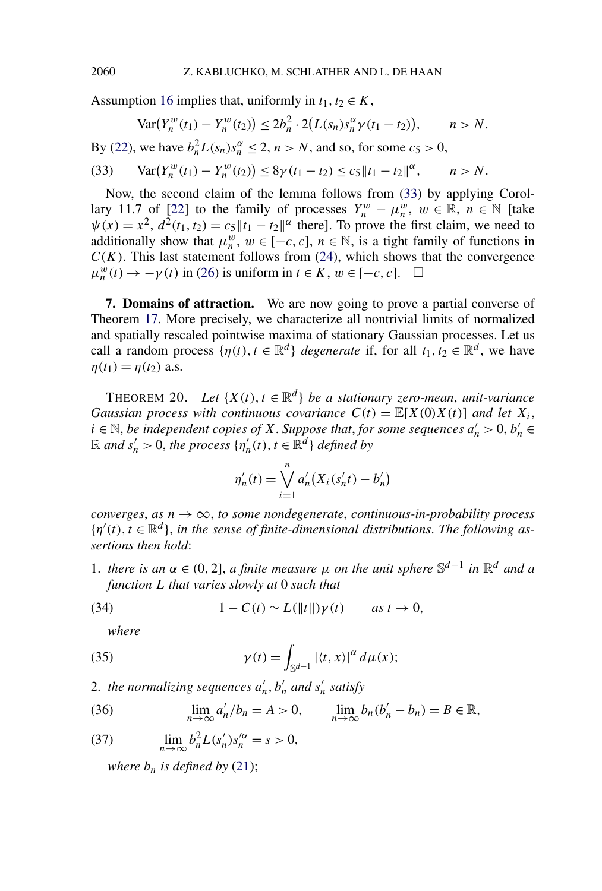Assumption [16](#page-12-0) implies that, uniformly in  $t_1, t_2 \in K$ ,

$$
\text{Var}(Y_n^w(t_1) - Y_n^w(t_2)) \le 2b_n^2 \cdot 2(L(s_n)s_n^{\alpha} \gamma(t_1 - t_2)), \qquad n > N.
$$

By [\(22\)](#page-12-0), we have  $b_n^2 L(s_n) s_n^{\alpha} \le 2$ ,  $n > N$ , and so, for some  $c_5 > 0$ ,

(33) 
$$
\text{Var}(Y_n^w(t_1) - Y_n^w(t_2)) \le 8\gamma(t_1 - t_2) \le c_5 \|t_1 - t_2\|^{\alpha}, \qquad n > N.
$$

Now, the second claim of the lemma follows from (33) by applying Corol-lary 11.7 of [\[22\]](#page-23-0) to the family of processes  $Y_n^w - \mu_n^w$ ,  $w \in \mathbb{R}$ ,  $n \in \mathbb{N}$  [take  $\psi(x) = x^2$ ,  $d^2(t_1, t_2) = c_5 \|t_1 - t_2\|^{\alpha}$  there]. To prove the first claim, we need to additionally show that  $\mu_n^w$ ,  $w \in [-c, c]$ ,  $n \in \mathbb{N}$ , is a tight family of functions in  $C(K)$ . This last statement follows from  $(24)$ , which shows that the convergence  $\mu_n^w(t) \to -\gamma(t)$  in [\(26\)](#page-13-0) is uniform in  $t \in K$ ,  $w \in [-c, c]$ .  $\Box$ 

**7. Domains of attraction.** We are now going to prove a partial converse of Theorem [17.](#page-13-0) More precisely, we characterize all nontrivial limits of normalized and spatially rescaled pointwise maxima of stationary Gaussian processes. Let us call a random process  $\{\eta(t), t \in \mathbb{R}^d\}$  *degenerate* if, for all  $t_1, t_2 \in \mathbb{R}^d$ , we have  $\eta(t_1) = \eta(t_2)$  a.s.

THEOREM 20. *Let*  $\{X(t), t \in \mathbb{R}^d\}$  *be a stationary zero-mean, unit-variance Gaussian process with continuous covariance*  $C(t) = \mathbb{E}[X(0)X(t)]$  *and let*  $X_i$ , *i* ∈ *N*, *be independent copies of X*. *Suppose that, for some sequences*  $a'_n > 0$ ,  $b'_n$  ∈  $\mathbb{R}$  *and*  $s'_n > 0$ , *the process*  $\{\eta'_n(t), t \in \mathbb{R}^d\}$  *defined by* 

$$
\eta'_{n}(t) = \bigvee_{i=1}^{n} a'_{n}(X_{i}(s'_{n}t) - b'_{n})
$$

*converges, as*  $n \to \infty$ *, to some nondegenerate, continuous-in-probability process*  $\{\eta'(t), t \in \mathbb{R}^d\}$ , *in the sense of finite-dimensional distributions. The following assertions then hold*:

1. *there is an*  $\alpha \in (0, 2]$ , *a finite measure*  $\mu$  *on the unit sphere*  $\mathbb{S}^{d-1}$  *in*  $\mathbb{R}^d$  *and a function L that varies slowly at* 0 *such that*

(34) 
$$
1 - C(t) \sim L(\|t\|) \gamma(t) \quad \text{as } t \to 0,
$$

*where*

(35) 
$$
\gamma(t) = \int_{\mathbb{S}^{d-1}} |\langle t, x \rangle|^{\alpha} d\mu(x);
$$

2. the normalizing sequences  $a'_n$ ,  $b'_n$  and  $s'_n$  satisfy

(36)  $\lim_{n \to \infty} a'_n/b_n = A > 0, \qquad \lim_{n \to \infty} b_n(b'_n - b_n) = B \in \mathbb{R},$ 

$$
(37) \qquad \lim_{n \to \infty} b_n^2 L(s'_n) s'^{\alpha}_n = s > 0,
$$

*where*  $b_n$  *is defined by* [\(21\)](#page-12-0);

<span id="page-18-0"></span>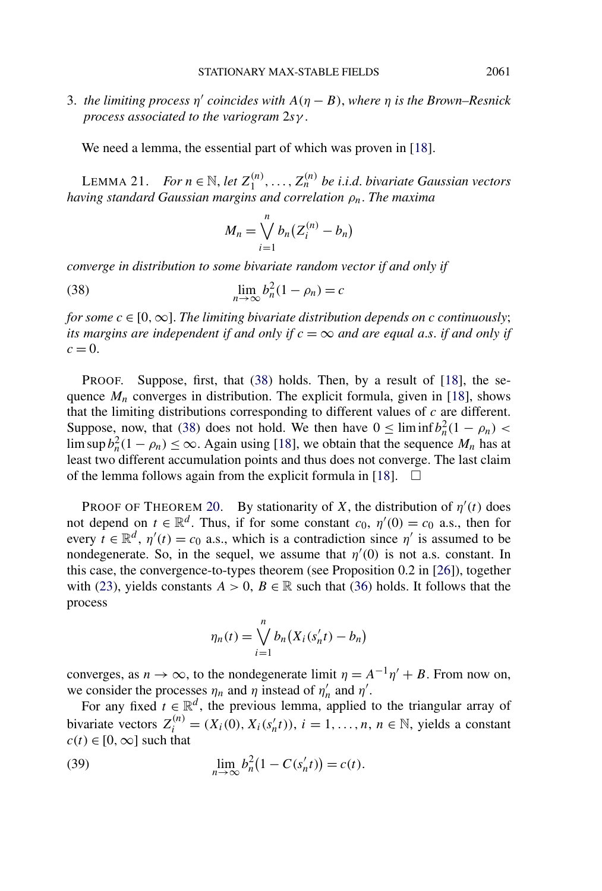<span id="page-19-0"></span>3. *the limiting process η coincides with A(η* − *B)*, *where η is the Brown–Resnick process associated to the variogram* 2*sγ* .

We need a lemma, the essential part of which was proven in [\[18\]](#page-23-0).

LEMMA 21. *For*  $n \in \mathbb{N}$ , *let*  $Z_1^{(n)}$ ,  $\ldots$ ,  $Z_n^{(n)}$  *be i.i.d. bivariate Gaussian vectors having standard Gaussian margins and correlation ρn*. *The maxima*

$$
M_n = \bigvee_{i=1}^n b_n (Z_i^{(n)} - b_n)
$$

*converge in distribution to some bivariate random vector if and only if*

(38) 
$$
\lim_{n \to \infty} b_n^2 (1 - \rho_n) = c
$$

*for some*  $c \in [0, \infty]$ . *The limiting bivariate distribution depends on c continuously*; *its margins are independent if and only if*  $c = \infty$  *and are equal a.s. if and only if*  $c = 0$ .

PROOF. Suppose, first, that (38) holds. Then, by a result of [\[18\]](#page-23-0), the sequence  $M_n$  converges in distribution. The explicit formula, given in [\[18\]](#page-23-0), shows that the limiting distributions corresponding to different values of *c* are different. Suppose, now, that (38) does not hold. We then have  $0 \leq \liminf b_n^2(1 - \rho_n)$  $\limsup b_n^2(1 - \rho_n) \le \infty$ . Again using [\[18\]](#page-23-0), we obtain that the sequence  $M_n$  has at least two different accumulation points and thus does not converge. The last claim of the lemma follows again from the explicit formula in [\[18\]](#page-23-0).  $\Box$ 

PROOF OF THEOREM [20.](#page-18-0) By stationarity of *X*, the distribution of  $\eta'(t)$  does not depend on  $t \in \mathbb{R}^d$ . Thus, if for some constant  $c_0$ ,  $\eta'(0) = c_0$  a.s., then for every  $\hat{t} \in \mathbb{R}^d$ ,  $\eta'(t) = c_0$  a.s., which is a contradiction since  $\eta'$  is assumed to be nondegenerate. So, in the sequel, we assume that  $\eta'(0)$  is not a.s. constant. In this case, the convergence-to-types theorem (see Proposition 0.2 in [\[26\]](#page-23-0)), together with [\(23\)](#page-13-0), yields constants  $A > 0$ ,  $B \in \mathbb{R}$  such that [\(36\)](#page-18-0) holds. It follows that the process

$$
\eta_n(t) = \bigvee_{i=1}^n b_n(X_i(s'_n t) - b_n)
$$

converges, as  $n \to \infty$ , to the nondegenerate limit  $\eta = A^{-1}\eta' + B$ . From now on, we consider the processes  $\eta_n$  and  $\eta$  instead of  $\eta'_n$  and  $\eta'$ .

For any fixed  $t \in \mathbb{R}^d$ , the previous lemma, applied to the triangular array of bivariate vectors  $Z_i^{(n)} = (X_i(0), X_i(s'_n t)), i = 1, ..., n, n \in \mathbb{N}$ , yields a constant  $c(t) \in [0, \infty]$  such that

(39) 
$$
\lim_{n \to \infty} b_n^2 (1 - C(s'_n t)) = c(t).
$$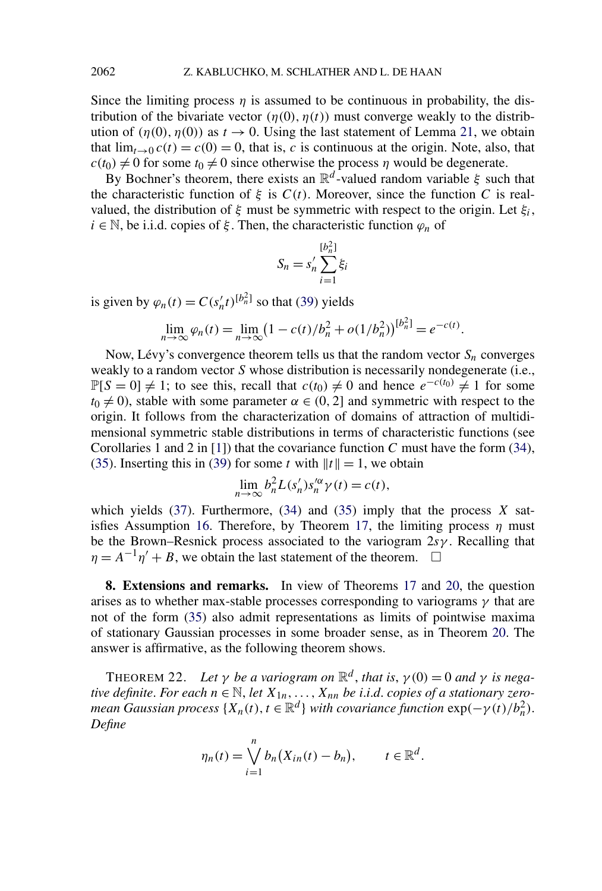Since the limiting process  $\eta$  is assumed to be continuous in probability, the distribution of the bivariate vector  $(\eta(0), \eta(t))$  must converge weakly to the distribution of  $(\eta(0), \eta(0))$  as  $t \to 0$ . Using the last statement of Lemma [21,](#page-19-0) we obtain that  $\lim_{t\to 0} c(t) = c(0) = 0$ , that is, *c* is continuous at the origin. Note, also, that  $c(t_0) \neq 0$  for some  $t_0 \neq 0$  since otherwise the process  $\eta$  would be degenerate.

By Bochner's theorem, there exists an  $\mathbb{R}^d$ -valued random variable *ξ* such that the characteristic function of  $\xi$  is  $C(t)$ . Moreover, since the function *C* is realvalued, the distribution of *ξ* must be symmetric with respect to the origin. Let *ξi*, *i* ∈ N, be i.i.d. copies of *ξ* . Then, the characteristic function *ϕn* of

$$
S_n = s'_n \sum_{i=1}^{[b_n^2]} \xi_i
$$

is given by  $\varphi_n(t) = C(s'_n t)^{[b_n^2]}$  so that [\(39\)](#page-19-0) yields

$$
\lim_{n \to \infty} \varphi_n(t) = \lim_{n \to \infty} (1 - c(t)/b_n^2 + o(1/b_n^2))^{[b_n^2]} = e^{-c(t)}.
$$

Now, Lévy's convergence theorem tells us that the random vector  $S_n$  converges weakly to a random vector *S* whose distribution is necessarily nondegenerate (i.e.,  $\mathbb{P}[S = 0] \neq 1$ ; to see this, recall that  $c(t_0) \neq 0$  and hence  $e^{-c(t_0)} \neq 1$  for some  $t_0 \neq 0$ ), stable with some parameter  $\alpha \in (0, 2]$  and symmetric with respect to the origin. It follows from the characterization of domains of attraction of multidimensional symmetric stable distributions in terms of characteristic functions (see Corollaries 1 and 2 in [\[1\]](#page-22-0)) that the covariance function *C* must have the form [\(34\)](#page-18-0), [\(35\)](#page-18-0). Inserting this in [\(39\)](#page-19-0) for some *t* with  $||t|| = 1$ , we obtain

$$
\lim_{n \to \infty} b_n^2 L(s'_n) s'^\alpha_n \gamma(t) = c(t),
$$

which yields [\(37\)](#page-18-0). Furthermore, [\(34\)](#page-18-0) and [\(35\)](#page-18-0) imply that the process *X* sat-isfies Assumption [16.](#page-12-0) Therefore, by Theorem [17,](#page-13-0) the limiting process  $\eta$  must be the Brown–Resnick process associated to the variogram  $2s\gamma$ . Recalling that  $\eta = A^{-1} \eta' + B$ , we obtain the last statement of the theorem.  $\Box$ 

**8. Extensions and remarks.** In view of Theorems [17](#page-13-0) and [20,](#page-18-0) the question arises as to whether max-stable processes corresponding to variograms *γ* that are not of the form [\(35\)](#page-18-0) also admit representations as limits of pointwise maxima of stationary Gaussian processes in some broader sense, as in Theorem [20.](#page-18-0) The answer is affirmative, as the following theorem shows.

THEOREM 22. Let  $\gamma$  be a variogram on  $\mathbb{R}^d$ , that is,  $\gamma(0) = 0$  and  $\gamma$  is nega*tive definite. For each*  $n \in \mathbb{N}$ , *let*  $X_{1n}, \ldots, X_{nn}$  *be i.i.d. copies of a stationary zeromean Gaussian process*  $\{X_n(t), t \in \mathbb{R}^d\}$  *with covariance function*  $\exp(-\gamma(t)/b_n^2)$ . *Define*

$$
\eta_n(t) = \bigvee_{i=1}^n b_n(X_{in}(t) - b_n), \qquad t \in \mathbb{R}^d.
$$

<span id="page-20-0"></span>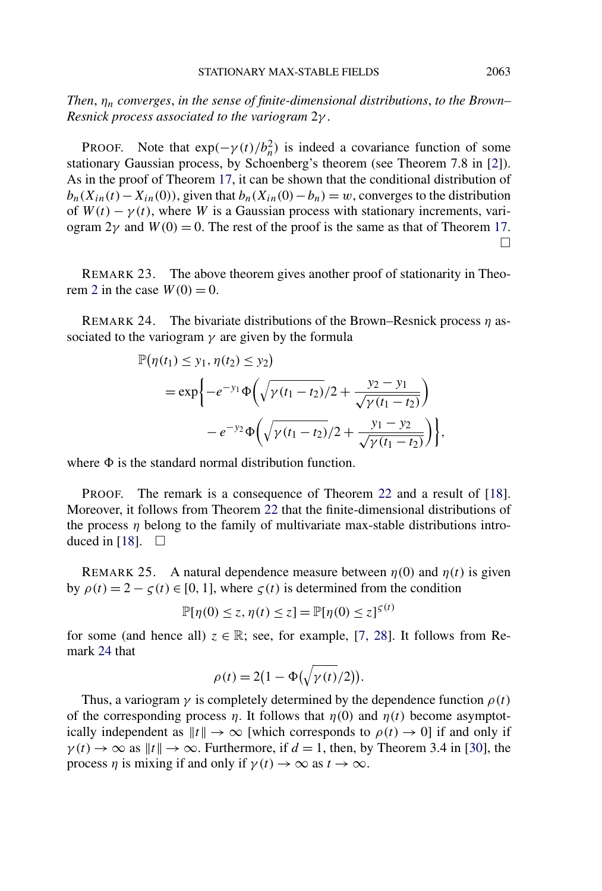*Then*, *ηn converges*, *in the sense of finite-dimensional distributions*, *to the Brown– Resnick process associated to the variogram* 2*γ* .

PROOF. Note that  $exp(-\gamma(t)/b_n^2)$  is indeed a covariance function of some stationary Gaussian process, by Schoenberg's theorem (see Theorem 7.8 in [\[2\]](#page-22-0)). As in the proof of Theorem [17,](#page-13-0) it can be shown that the conditional distribution of  $b_n(X_{in}(t) - X_{in}(0))$ , given that  $b_n(X_{in}(0) - b_n) = w$ , converges to the distribution of  $W(t) - \gamma(t)$ , where *W* is a Gaussian process with stationary increments, variogram  $2\gamma$  and  $W(0) = 0$ . The rest of the proof is the same as that of Theorem [17.](#page-13-0)  $\Box$ 

REMARK 23. The above theorem gives another proof of stationarity in Theo-rem [2](#page-2-0) in the case  $W(0) = 0$ .

REMARK 24. The bivariate distributions of the Brown–Resnick process *η* associated to the variogram  $\gamma$  are given by the formula

$$
\mathbb{P}(\eta(t_1) \le y_1, \eta(t_2) \le y_2)
$$
  
=  $\exp\left\{-e^{-y_1}\Phi\left(\sqrt{\gamma(t_1 - t_2)}/2 + \frac{y_2 - y_1}{\sqrt{\gamma(t_1 - t_2)}}\right)\right\}$   
 $-e^{-y_2}\Phi\left(\sqrt{\gamma(t_1 - t_2)}/2 + \frac{y_1 - y_2}{\sqrt{\gamma(t_1 - t_2)}}\right)\right\},\,$ 

where  $\Phi$  is the standard normal distribution function.

PROOF. The remark is a consequence of Theorem [22](#page-20-0) and a result of [\[18\]](#page-23-0). Moreover, it follows from Theorem [22](#page-20-0) that the finite-dimensional distributions of the process *η* belong to the family of multivariate max-stable distributions intro-duced in [\[18\]](#page-23-0).  $\Box$ 

REMARK 25. A natural dependence measure between  $\eta(0)$  and  $\eta(t)$  is given by *ρ(t)* = 2 − *ς(t)* ∈ [0*,* 1], where *ς(t)* is determined from the condition

$$
\mathbb{P}[\eta(0) \le z, \eta(t) \le z] = \mathbb{P}[\eta(0) \le z]^{S(t)}
$$

for some (and hence all)  $z \in \mathbb{R}$ ; see, for example, [\[7, 28\]](#page-22-0). It follows from Remark 24 that

$$
\rho(t) = 2\big(1 - \Phi\big(\sqrt{\gamma(t)}/2\big)\big).
$$

Thus, a variogram  $\gamma$  is completely determined by the dependence function  $\rho(t)$ of the corresponding process *η*. It follows that  $\eta(0)$  and  $\eta(t)$  become asymptotically independent as  $||t|| \to \infty$  [which corresponds to  $\rho(t) \to 0$ ] if and only if  $\gamma(t) \to \infty$  as  $||t|| \to \infty$ . Furthermore, if  $d = 1$ , then, by Theorem 3.4 in [\[30\]](#page-23-0), the process *η* is mixing if and only if  $\gamma(t) \to \infty$  as  $t \to \infty$ .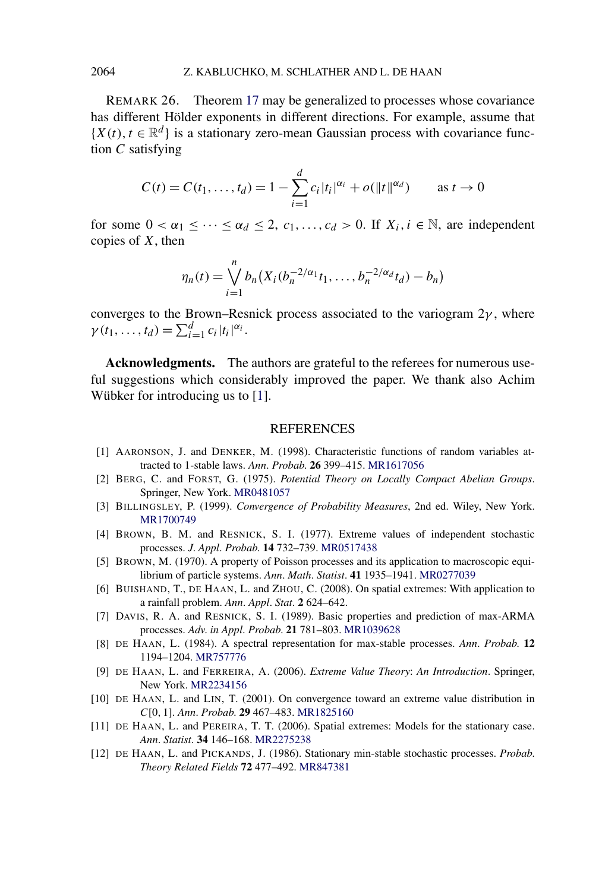<span id="page-22-0"></span>REMARK 26. Theorem [17](#page-13-0) may be generalized to processes whose covariance has different Hölder exponents in different directions. For example, assume that  ${X(t), t \in \mathbb{R}^d}$  is a stationary zero-mean Gaussian process with covariance function *C* satisfying

$$
C(t) = C(t_1, ..., t_d) = 1 - \sum_{i=1}^d c_i |t_i|^{\alpha_i} + o(||t||^{\alpha_d}) \quad \text{as } t \to 0
$$

for some  $0 < \alpha_1 \leq \cdots \leq \alpha_d \leq 2$ ,  $c_1, \ldots, c_d > 0$ . If  $X_i, i \in \mathbb{N}$ , are independent copies of *X*, then

$$
\eta_n(t) = \bigvee_{i=1}^n b_n(X_i(b_n^{-2/\alpha_1}t_1,\ldots,b_n^{-2/\alpha_d}t_d) - b_n)
$$

converges to the Brown–Resnick process associated to the variogram 2*γ* , where  $\gamma(t_1, ..., t_d) = \sum_{i=1}^d c_i |t_i|^{\alpha_i}.$ 

**Acknowledgments.** The authors are grateful to the referees for numerous useful suggestions which considerably improved the paper. We thank also Achim Wübker for introducing us to [1].

## **REFERENCES**

- [1] AARONSON, J. and DENKER, M. (1998). Characteristic functions of random variables attracted to 1-stable laws. *Ann*. *Probab*. **26** 399–415. [MR1617056](http://www.ams.org/mathscinet-getitem?mr=1617056)
- [2] BERG, C. and FORST, G. (1975). *Potential Theory on Locally Compact Abelian Groups*. Springer, New York. [MR0481057](http://www.ams.org/mathscinet-getitem?mr=0481057)
- [3] BILLINGSLEY, P. (1999). *Convergence of Probability Measures*, 2nd ed. Wiley, New York. [MR1700749](http://www.ams.org/mathscinet-getitem?mr=1700749)
- [4] BROWN, B. M. and RESNICK, S. I. (1977). Extreme values of independent stochastic processes. *J*. *Appl*. *Probab*. **14** 732–739. [MR0517438](http://www.ams.org/mathscinet-getitem?mr=0517438)
- [5] BROWN, M. (1970). A property of Poisson processes and its application to macroscopic equilibrium of particle systems. *Ann*. *Math*. *Statist*. **41** 1935–1941. [MR0277039](http://www.ams.org/mathscinet-getitem?mr=0277039)
- [6] BUISHAND, T., DE HAAN, L. and ZHOU, C. (2008). On spatial extremes: With application to a rainfall problem. *Ann*. *Appl*. *Stat*. **2** 624–642.
- [7] DAVIS, R. A. and RESNICK, S. I. (1989). Basic properties and prediction of max-ARMA processes. *Adv*. *in Appl*. *Probab*. **21** 781–803. [MR1039628](http://www.ams.org/mathscinet-getitem?mr=1039628)
- [8] DE HAAN, L. (1984). A spectral representation for max-stable processes. *Ann*. *Probab*. **12** 1194–1204. [MR757776](http://www.ams.org/mathscinet-getitem?mr=757776)
- [9] DE HAAN, L. and FERREIRA, A. (2006). *Extreme Value Theory*: *An Introduction*. Springer, New York. [MR2234156](http://www.ams.org/mathscinet-getitem?mr=2234156)
- [10] DE HAAN, L. and LIN, T. (2001). On convergence toward an extreme value distribution in *C*[0*,* 1]. *Ann*. *Probab*. **29** 467–483. [MR1825160](http://www.ams.org/mathscinet-getitem?mr=1825160)
- [11] DE HAAN, L. and PEREIRA, T. T. (2006). Spatial extremes: Models for the stationary case. *Ann*. *Statist*. **34** 146–168. [MR2275238](http://www.ams.org/mathscinet-getitem?mr=2275238)
- [12] DE HAAN, L. and PICKANDS, J. (1986). Stationary min-stable stochastic processes. *Probab*. *Theory Related Fields* **72** 477–492. [MR847381](http://www.ams.org/mathscinet-getitem?mr=847381)